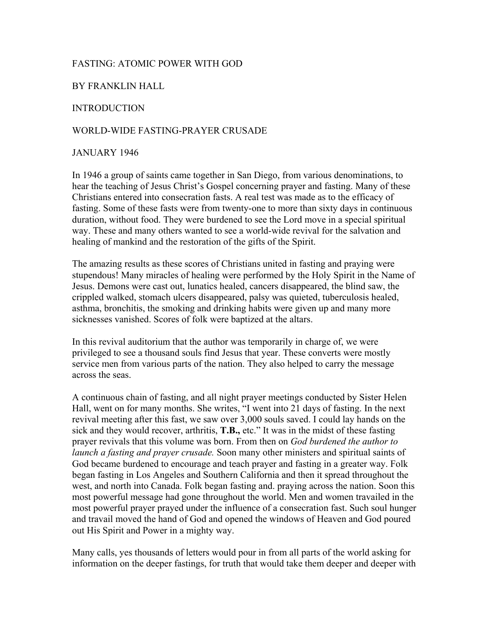# FASTING: ATOMIC POWER WITH GOD

# BY FRANKLIN HALL

# INTRODUCTION

# WORLD-WIDE FASTING-PRAYER CRUSADE

### JANUARY 1946

In 1946 a group of saints came together in San Diego, from various denominations, to hear the teaching of Jesus Christ's Gospel concerning prayer and fasting. Many of these Christians entered into consecration fasts. A real test was made as to the efficacy of fasting. Some of these fasts were from twenty-one to more than sixty days in continuous duration, without food. They were burdened to see the Lord move in a special spiritual way. These and many others wanted to see a world-wide revival for the salvation and healing of mankind and the restoration of the gifts of the Spirit.

The amazing results as these scores of Christians united in fasting and praying were stupendous! Many miracles of healing were performed by the Holy Spirit in the Name of Jesus. Demons were cast out, lunatics healed, cancers disappeared, the blind saw, the crippled walked, stomach ulcers disappeared, palsy was quieted, tuberculosis healed, asthma, bronchitis, the smoking and drinking habits were given up and many more sicknesses vanished. Scores of folk were baptized at the altars.

In this revival auditorium that the author was temporarily in charge of, we were privileged to see a thousand souls find Jesus that year. These converts were mostly service men from various parts of the nation. They also helped to carry the message across the seas.

A continuous chain of fasting, and all night prayer meetings conducted by Sister Helen Hall, went on for many months. She writes, "I went into 21 days of fasting. In the next revival meeting after this fast, we saw over 3,000 souls saved. I could lay hands on the sick and they would recover, arthritis, **T.B.,** etc." It was in the midst of these fasting prayer revivals that this volume was born. From then on *God burdened the author to launch a fasting and prayer crusade.* Soon many other ministers and spiritual saints of God became burdened to encourage and teach prayer and fasting in a greater way. Folk began fasting in Los Angeles and Southern California and then it spread throughout the west, and north into Canada. Folk began fasting and. praying across the nation. Soon this most powerful message had gone throughout the world. Men and women travailed in the most powerful prayer prayed under the influence of a consecration fast. Such soul hunger and travail moved the hand of God and opened the windows of Heaven and God poured out His Spirit and Power in a mighty way.

Many calls, yes thousands of letters would pour in from all parts of the world asking for information on the deeper fastings, for truth that would take them deeper and deeper with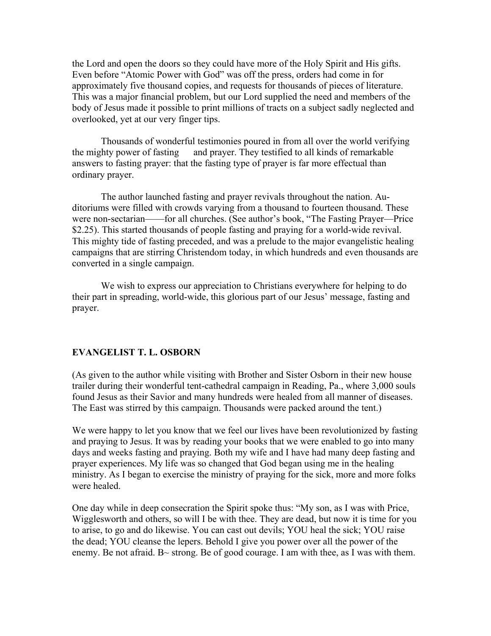the Lord and open the doors so they could have more of the Holy Spirit and His gifts. Even before "Atomic Power with God" was off the press, orders had come in for approximately five thousand copies, and requests for thousands of pieces of literature. This was a major financial problem, but our Lord supplied the need and members of the body of Jesus made it possible to print millions of tracts on a subject sadly neglected and overlooked, yet at our very finger tips.

 Thousands of wonderful testimonies poured in from all over the world verifying the mighty power of fasting and prayer. They testified to all kinds of remarkable answers to fasting prayer: that the fasting type of prayer is far more effectual than ordinary prayer.

 The author launched fasting and prayer revivals throughout the nation. Auditoriums were filled with crowds varying from a thousand to fourteen thousand. These were non-sectarian——for all churches. (See author's book, "The Fasting Prayer—Price \$2.25). This started thousands of people fasting and praying for a world-wide revival. This mighty tide of fasting preceded, and was a prelude to the major evangelistic healing campaigns that are stirring Christendom today, in which hundreds and even thousands are converted in a single campaign.

 We wish to express our appreciation to Christians everywhere for helping to do their part in spreading, world-wide, this glorious part of our Jesus' message, fasting and prayer.

### **EVANGELIST T. L. OSBORN**

(As given to the author while visiting with Brother and Sister Osborn in their new house trailer during their wonderful tent-cathedral campaign in Reading, Pa., where 3,000 souls found Jesus as their Savior and many hundreds were healed from all manner of diseases. The East was stirred by this campaign. Thousands were packed around the tent.)

We were happy to let you know that we feel our lives have been revolutionized by fasting and praying to Jesus. It was by reading your books that we were enabled to go into many days and weeks fasting and praying. Both my wife and I have had many deep fasting and prayer experiences. My life was so changed that God began using me in the healing ministry. As I began to exercise the ministry of praying for the sick, more and more folks were healed.

One day while in deep consecration the Spirit spoke thus: "My son, as I was with Price, Wigglesworth and others, so will I be with thee. They are dead, but now it is time for you to arise, to go and do likewise. You can cast out devils; YOU heal the sick; YOU raise the dead; YOU cleanse the lepers. Behold I give you power over all the power of the enemy. Be not afraid.  $B \sim$  strong. Be of good courage. I am with thee, as I was with them.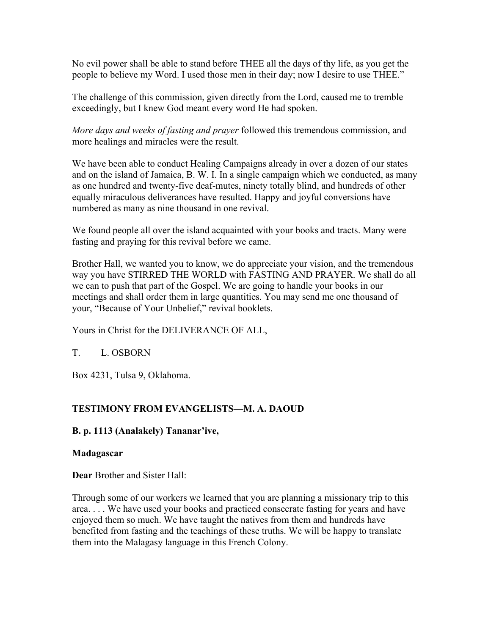No evil power shall be able to stand before THEE all the days of thy life, as you get the people to believe my Word. I used those men in their day; now I desire to use THEE."

The challenge of this commission, given directly from the Lord, caused me to tremble exceedingly, but I knew God meant every word He had spoken.

*More days and weeks of fasting and prayer* followed this tremendous commission, and more healings and miracles were the result.

We have been able to conduct Healing Campaigns already in over a dozen of our states and on the island of Jamaica, B. W. I. In a single campaign which we conducted, as many as one hundred and twenty-five deaf-mutes, ninety totally blind, and hundreds of other equally miraculous deliverances have resulted. Happy and joyful conversions have numbered as many as nine thousand in one revival.

We found people all over the island acquainted with your books and tracts. Many were fasting and praying for this revival before we came.

Brother Hall, we wanted you to know, we do appreciate your vision, and the tremendous way you have STIRRED THE WORLD with FASTING AND PRAYER. We shall do all we can to push that part of the Gospel. We are going to handle your books in our meetings and shall order them in large quantities. You may send me one thousand of your, "Because of Your Unbelief," revival booklets.

Yours in Christ for the DELIVERANCE OF ALL,

# T. L. OSBORN

Box 4231, Tulsa 9, Oklahoma.

# **TESTIMONY FROM EVANGELISTS—M. A. DAOUD**

# **B. p. 1113 (Analakely) Tananar'ive,**

# **Madagascar**

**Dear** Brother and Sister Hall:

Through some of our workers we learned that you are planning a missionary trip to this area. . . . We have used your books and practiced consecrate fasting for years and have enjoyed them so much. We have taught the natives from them and hundreds have benefited from fasting and the teachings of these truths. We will be happy to translate them into the Malagasy language in this French Colony.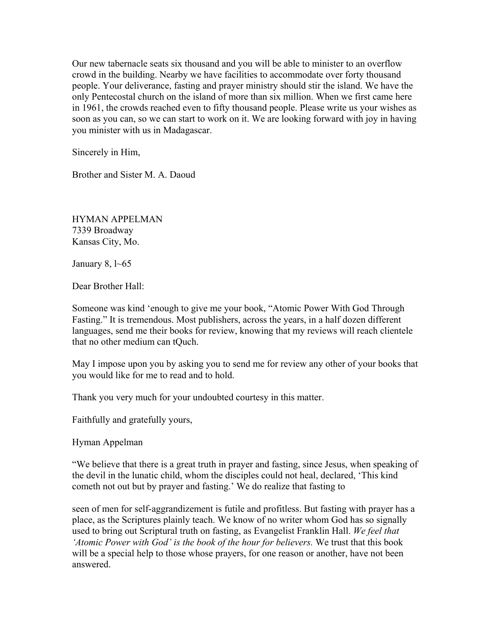Our new tabernacle seats six thousand and you will be able to minister to an overflow crowd in the building. Nearby we have facilities to accommodate over forty thousand people. Your deliverance, fasting and prayer ministry should stir the island. We have the only Pentecostal church on the island of more than six million. When we first came here in 1961, the crowds reached even to fifty thousand people. Please write us your wishes as soon as you can, so we can start to work on it. We are looking forward with joy in having you minister with us in Madagascar.

Sincerely in Him,

Brother and Sister M. A. Daoud

HYMAN APPELMAN 7339 Broadway Kansas City, Mo.

January 8, l~65

Dear Brother Hall:

Someone was kind 'enough to give me your book, "Atomic Power With God Through Fasting." It is tremendous. Most publishers, across the years, in a half dozen different languages, send me their books for review, knowing that my reviews will reach clientele that no other medium can tQuch.

May I impose upon you by asking you to send me for review any other of your books that you would like for me to read and to hold.

Thank you very much for your undoubted courtesy in this matter.

Faithfully and gratefully yours,

Hyman Appelman

"We believe that there is a great truth in prayer and fasting, since Jesus, when speaking of the devil in the lunatic child, whom the disciples could not heal, declared, 'This kind cometh not out but by prayer and fasting.' We do realize that fasting to

seen of men for self-aggrandizement is futile and profitless. But fasting with prayer has a place, as the Scriptures plainly teach. We know of no writer whom God has so signally used to bring out Scriptural truth on fasting, as Evangelist Franklin Hall. *We feel that 'Atomic Power with God' is the book of the hour for believers.* We trust that this book will be a special help to those whose prayers, for one reason or another, have not been answered.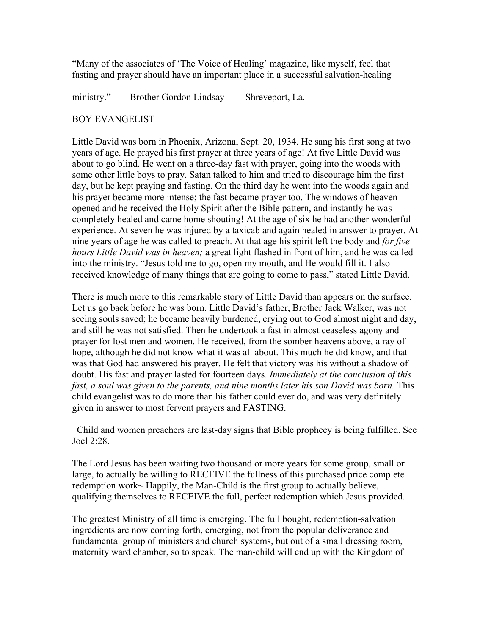"Many of the associates of 'The Voice of Healing' magazine, like myself, feel that fasting and prayer should have an important place in a successful salvation-healing

ministry." Brother Gordon Lindsay Shreveport, La.

# BOY EVANGELIST

Little David was born in Phoenix, Arizona, Sept. 20, 1934. He sang his first song at two years of age. He prayed his first prayer at three years of age! At five Little David was about to go blind. He went on a three-day fast with prayer, going into the woods with some other little boys to pray. Satan talked to him and tried to discourage him the first day, but he kept praying and fasting. On the third day he went into the woods again and his prayer became more intense; the fast became prayer too. The windows of heaven opened and he received the Holy Spirit after the Bible pattern, and instantly he was completely healed and came home shouting! At the age of six he had another wonderful experience. At seven he was injured by a taxicab and again healed in answer to prayer. At nine years of age he was called to preach. At that age his spirit left the body and *for five hours Little David was in heaven;* a great light flashed in front of him, and he was called into the ministry. "Jesus told me to go, open my mouth, and He would fill it. I also received knowledge of many things that are going to come to pass," stated Little David.

There is much more to this remarkable story of Little David than appears on the surface. Let us go back before he was born. Little David's father, Brother Jack Walker, was not seeing souls saved; he became heavily burdened, crying out to God almost night and day, and still he was not satisfied. Then he undertook a fast in almost ceaseless agony and prayer for lost men and women. He received, from the somber heavens above, a ray of hope, although he did not know what it was all about. This much he did know, and that was that God had answered his prayer. He felt that victory was his without a shadow of doubt. His fast and prayer lasted for fourteen days. *Immediately at the conclusion of this fast, a soul was given to the parents, and nine months later his son David was born. This* child evangelist was to do more than his father could ever do, and was very definitely given in answer to most fervent prayers and FASTING.

 Child and women preachers are last-day signs that Bible prophecy is being fulfilled. See Joel 2:28.

The Lord Jesus has been waiting two thousand or more years for some group, small or large, to actually be willing to RECEIVE the fullness of this purchased price complete redemption work~ Happily, the Man-Child is the first group to actually believe, qualifying themselves to RECEIVE the full, perfect redemption which Jesus provided.

The greatest Ministry of all time is emerging. The full bought, redemption-salvation ingredients are now coming forth, emerging, not from the popular deliverance and fundamental group of ministers and church systems, but out of a small dressing room, maternity ward chamber, so to speak. The man-child will end up with the Kingdom of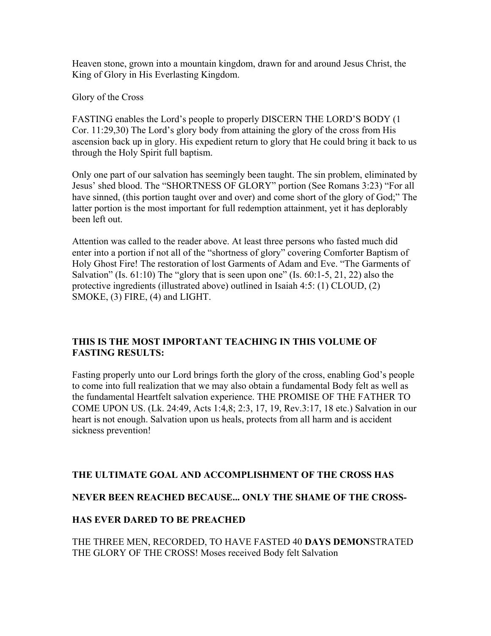Heaven stone, grown into a mountain kingdom, drawn for and around Jesus Christ, the King of Glory in His Everlasting Kingdom.

Glory of the Cross

FASTING enables the Lord's people to properly DISCERN THE LORD'S BODY (1 Cor. 11:29,30) The Lord's glory body from attaining the glory of the cross from His ascension back up in glory. His expedient return to glory that He could bring it back to us through the Holy Spirit full baptism.

Only one part of our salvation has seemingly been taught. The sin problem, eliminated by Jesus' shed blood. The "SHORTNESS OF GLORY" portion (See Romans 3:23) "For all have sinned, (this portion taught over and over) and come short of the glory of God;" The latter portion is the most important for full redemption attainment, yet it has deplorably been left out.

Attention was called to the reader above. At least three persons who fasted much did enter into a portion if not all of the "shortness of glory" covering Comforter Baptism of Holy Ghost Fire! The restoration of lost Garments of Adam and Eve. "The Garments of Salvation" (Is.  $61:10$ ) The "glory that is seen upon one" (Is.  $60:1-5$ ,  $21$ ,  $22$ ) also the protective ingredients (illustrated above) outlined in Isaiah 4:5: (1) CLOUD, (2) SMOKE, (3) FIRE, (4) and LIGHT.

# **THIS IS THE MOST IMPORTANT TEACHING IN THIS VOLUME OF FASTING RESULTS:**

Fasting properly unto our Lord brings forth the glory of the cross, enabling God's people to come into full realization that we may also obtain a fundamental Body felt as well as the fundamental Heartfelt salvation experience. THE PROMISE OF THE FATHER TO COME UPON US. (Lk. 24:49, Acts 1:4,8; 2:3, 17, 19, Rev.3:17, 18 etc.) Salvation in our heart is not enough. Salvation upon us heals, protects from all harm and is accident sickness prevention!

# **THE ULTIMATE GOAL AND ACCOMPLISHMENT OF THE CROSS HAS**

# **NEVER BEEN REACHED BECAUSE... ONLY THE SHAME OF THE CROSS-**

# **HAS EVER DARED TO BE PREACHED**

THE THREE MEN, RECORDED, TO HAVE FASTED 40 **DAYS DEMON**STRATED THE GLORY OF THE CROSS! Moses received Body felt Salvation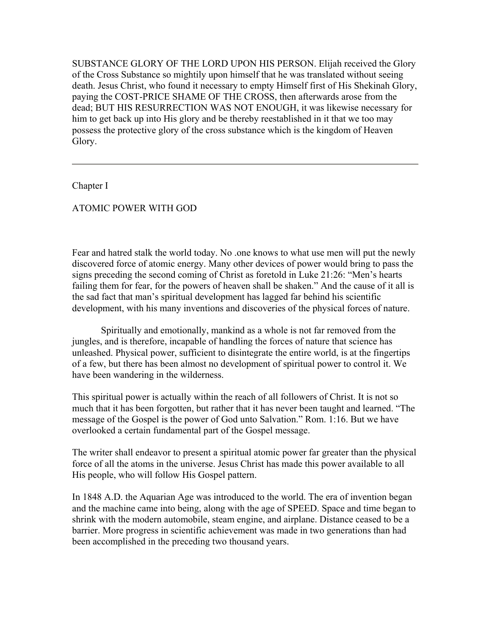SUBSTANCE GLORY OF THE LORD UPON HIS PERSON. Elijah received the Glory of the Cross Substance so mightily upon himself that he was translated without seeing death. Jesus Christ, who found it necessary to empty Himself first of His Shekinah Glory, paying the COST-PRICE SHAME OF THE CROSS, then afterwards arose from the dead; BUT HIS RESURRECTION WAS NOT ENOUGH, it was likewise necessary for him to get back up into His glory and be thereby reestablished in it that we too may possess the protective glory of the cross substance which is the kingdom of Heaven Glory.

#### Chapter I

### ATOMIC POWER WITH GOD

Fear and hatred stalk the world today. No .one knows to what use men will put the newly discovered force of atomic energy. Many other devices of power would bring to pass the signs preceding the second coming of Christ as foretold in Luke 21:26: "Men's hearts failing them for fear, for the powers of heaven shall be shaken." And the cause of it all is the sad fact that man's spiritual development has lagged far behind his scientific development, with his many inventions and discoveries of the physical forces of nature.

Spiritually and emotionally, mankind as a whole is not far removed from the jungles, and is therefore, incapable of handling the forces of nature that science has unleashed. Physical power, sufficient to disintegrate the entire world, is at the fingertips of a few, but there has been almost no development of spiritual power to control it. We have been wandering in the wilderness.

This spiritual power is actually within the reach of all followers of Christ. It is not so much that it has been forgotten, but rather that it has never been taught and learned. "The message of the Gospel is the power of God unto Salvation." Rom. 1:16. But we have overlooked a certain fundamental part of the Gospel message.

The writer shall endeavor to present a spiritual atomic power far greater than the physical force of all the atoms in the universe. Jesus Christ has made this power available to all His people, who will follow His Gospel pattern.

In 1848 A.D. the Aquarian Age was introduced to the world. The era of invention began and the machine came into being, along with the age of SPEED. Space and time began to shrink with the modern automobile, steam engine, and airplane. Distance ceased to be a barrier. More progress in scientific achievement was made in two generations than had been accomplished in the preceding two thousand years.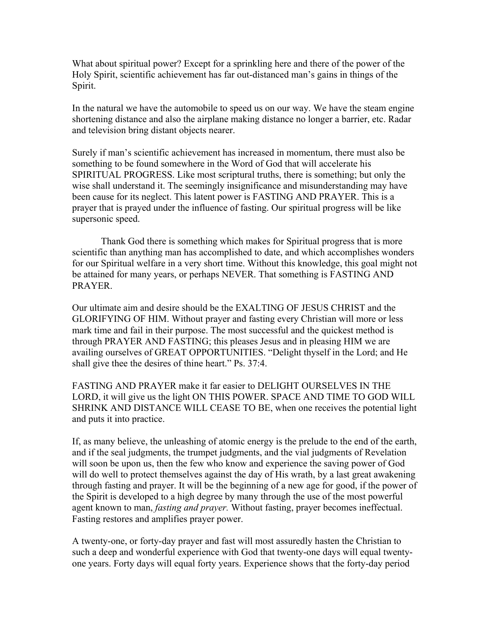What about spiritual power? Except for a sprinkling here and there of the power of the Holy Spirit, scientific achievement has far out-distanced man's gains in things of the Spirit.

In the natural we have the automobile to speed us on our way. We have the steam engine shortening distance and also the airplane making distance no longer a barrier, etc. Radar and television bring distant objects nearer.

Surely if man's scientific achievement has increased in momentum, there must also be something to be found somewhere in the Word of God that will accelerate his SPIRITUAL PROGRESS. Like most scriptural truths, there is something; but only the wise shall understand it. The seemingly insignificance and misunderstanding may have been cause for its neglect. This latent power is FASTING AND PRAYER. This is a prayer that is prayed under the influence of fasting. Our spiritual progress will be like supersonic speed.

 Thank God there is something which makes for Spiritual progress that is more scientific than anything man has accomplished to date, and which accomplishes wonders for our Spiritual welfare in a very short time. Without this knowledge, this goal might not be attained for many years, or perhaps NEVER. That something is FASTING AND PRAYER.

Our ultimate aim and desire should be the EXALTING OF JESUS CHRIST and the GLORIFYING OF HIM. Without prayer and fasting every Christian will more or less mark time and fail in their purpose. The most successful and the quickest method is through PRAYER AND FASTING; this pleases Jesus and in pleasing HIM we are availing ourselves of GREAT OPPORTUNITIES. "Delight thyself in the Lord; and He shall give thee the desires of thine heart." Ps. 37:4.

FASTING AND PRAYER make it far easier to DELIGHT OURSELVES IN THE LORD, it will give us the light ON THIS POWER. SPACE AND TIME TO GOD WILL SHRINK AND DISTANCE WILL CEASE TO BE, when one receives the potential light and puts it into practice.

If, as many believe, the unleashing of atomic energy is the prelude to the end of the earth, and if the seal judgments, the trumpet judgments, and the vial judgments of Revelation will soon be upon us, then the few who know and experience the saving power of God will do well to protect themselves against the day of His wrath, by a last great awakening through fasting and prayer. It will be the beginning of a new age for good, if the power of the Spirit is developed to a high degree by many through the use of the most powerful agent known to man, *fasting and prayer.* Without fasting, prayer becomes ineffectual. Fasting restores and amplifies prayer power.

A twenty-one, or forty-day prayer and fast will most assuredly hasten the Christian to such a deep and wonderful experience with God that twenty-one days will equal twentyone years. Forty days will equal forty years. Experience shows that the forty-day period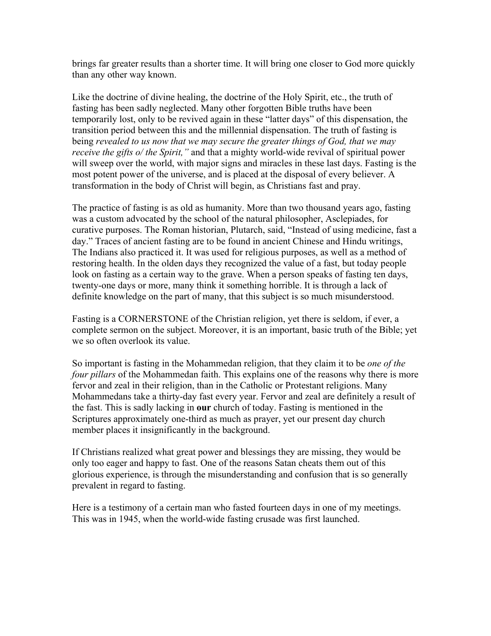brings far greater results than a shorter time. It will bring one closer to God more quickly than any other way known.

Like the doctrine of divine healing, the doctrine of the Holy Spirit, etc., the truth of fasting has been sadly neglected. Many other forgotten Bible truths have been temporarily lost, only to be revived again in these "latter days" of this dispensation, the transition period between this and the millennial dispensation. The truth of fasting is being *revealed to us now that we may secure the greater things of God, that we may receive the gifts o/ the Spirit,"* and that a mighty world-wide revival of spiritual power will sweep over the world, with major signs and miracles in these last days. Fasting is the most potent power of the universe, and is placed at the disposal of every believer. A transformation in the body of Christ will begin, as Christians fast and pray.

The practice of fasting is as old as humanity. More than two thousand years ago, fasting was a custom advocated by the school of the natural philosopher, Asclepiades, for curative purposes. The Roman historian, Plutarch, said, "Instead of using medicine, fast a day." Traces of ancient fasting are to be found in ancient Chinese and Hindu writings, The Indians also practiced it. It was used for religious purposes, as well as a method of restoring health. In the olden days they recognized the value of a fast, but today people look on fasting as a certain way to the grave. When a person speaks of fasting ten days, twenty-one days or more, many think it something horrible. It is through a lack of definite knowledge on the part of many, that this subject is so much misunderstood.

Fasting is a CORNERSTONE of the Christian religion, yet there is seldom, if ever, a complete sermon on the subject. Moreover, it is an important, basic truth of the Bible; yet we so often overlook its value.

So important is fasting in the Mohammedan religion, that they claim it to be *one of the four pillars* of the Mohammedan faith. This explains one of the reasons why there is more fervor and zeal in their religion, than in the Catholic or Protestant religions. Many Mohammedans take a thirty-day fast every year. Fervor and zeal are definitely a result of the fast. This is sadly lacking in **our** church of today. Fasting is mentioned in the Scriptures approximately one-third as much as prayer, yet our present day church member places it insignificantly in the background.

If Christians realized what great power and blessings they are missing, they would be only too eager and happy to fast. One of the reasons Satan cheats them out of this glorious experience, is through the misunderstanding and confusion that is so generally prevalent in regard to fasting.

Here is a testimony of a certain man who fasted fourteen days in one of my meetings. This was in 1945, when the world-wide fasting crusade was first launched.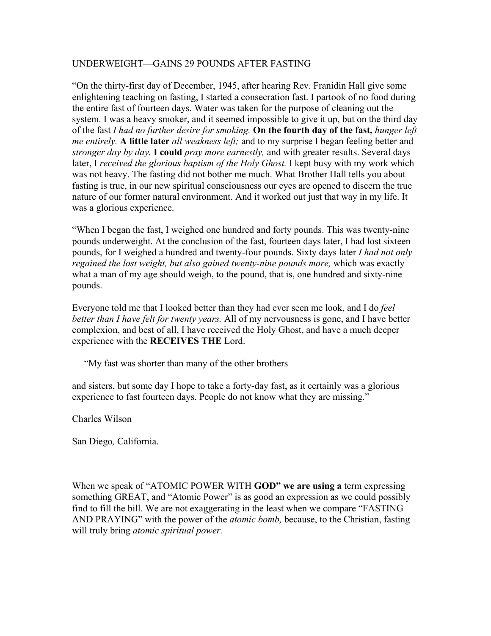# UNDERWEIGHT—GAINS 29 POUNDS AFTER FASTING

"On the thirty-first day of December, 1945, after hearing Rev. Franidin Hall give some enlightening teaching on fasting, I started a consecration fast. I partook of no food during the entire fast of fourteen days. Water was taken for the purpose of cleaning out the system. I was a heavy smoker, and it seemed impossible to give it up, but on the third day of the fast *I had no further desire for smoking.* **On the fourth day of the fast,** *hunger left me entirely.* **A little later** *all weakness left;* and to my surprise I began feeling better and *stronger day by day.* **I could** *pray more earnestly,* and with greater results. Several days later, I *received the glorious baptism of the Holy Ghost*. I kept busy with my work which was not heavy. The fasting did not bother me much. What Brother Hall tells you about fasting is true, in our new spiritual consciousness our eyes are opened to discern the true nature of our former natural environment. And it worked out just that way in my life. It was a glorious experience.

"When I began the fast, I weighed one hundred and forty pounds. This was twenty-nine pounds underweight. At the conclusion of the fast, fourteen days later, I had lost sixteen pounds, for I weighed a hundred and twenty-four pounds. Sixty days later *I had not only regained the lost weight, but also gained twenty-nine pounds more, which was exactly* what a man of my age should weigh, to the pound, that is, one hundred and sixty-nine pounds.

Everyone told me that I looked better than they had ever seen me look, and I do *feel better than I have felt for twenty years.* All of my nervousness is gone, and I have better complexion, and best of all, I have received the Holy Ghost, and have a much deeper experience with the **RECEIVES THE** Lord.

"My fast was shorter than many of the other brothers

and sisters, but some day I hope to take a forty-day fast, as it certainly was a glorious experience to fast fourteen days. People do not know what they are missing."

Charles Wilson

San Diego*,* California.

When we speak of "ATOMIC POWER WITH **GOD" we are using a** term expressing something GREAT, and "Atomic Power" is as good an expression as we could possibly find to fill the bill. We are not exaggerating in the least when we compare "FASTING AND PRAYING" with the power of the *atomic bomb,* because, to the Christian, fasting will truly bring *atomic spiritual power.*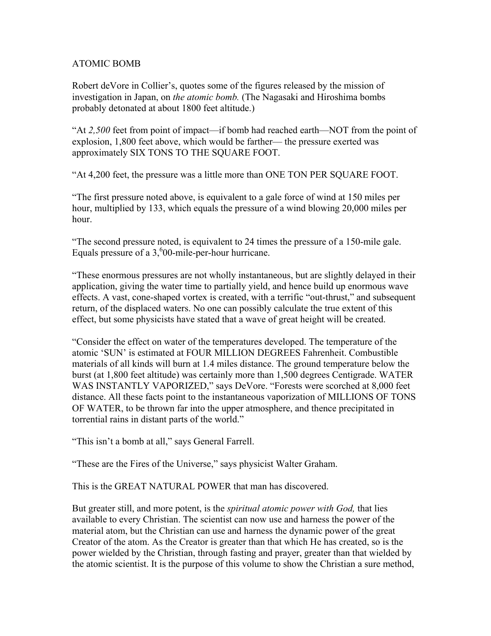# ATOMIC BOMB

Robert deVore in Collier's, quotes some of the figures released by the mission of investigation in Japan, on *the atomic bomb.* (The Nagasaki and Hiroshima bombs probably detonated at about 1800 feet altitude.)

"At *2,500* feet from point of impact—if bomb had reached earth—NOT from the point of explosion, 1,800 feet above, which would be farther— the pressure exerted was approximately SIX TONS TO THE SQUARE FOOT.

"At 4,200 feet, the pressure was a little more than ONE TON PER SQUARE FOOT.

"The first pressure noted above, is equivalent to a gale force of wind at 150 miles per hour, multiplied by 133, which equals the pressure of a wind blowing 20,000 miles per hour.

"The second pressure noted, is equivalent to 24 times the pressure of a 150-mile gale. Equals pressure of a  $3,600$ -mile-per-hour hurricane.

"These enormous pressures are not wholly instantaneous, but are slightly delayed in their application, giving the water time to partially yield, and hence build up enormous wave effects. A vast, cone-shaped vortex is created, with a terrific "out-thrust," and subsequent return, of the displaced waters. No one can possibly calculate the true extent of this effect, but some physicists have stated that a wave of great height will be created.

"Consider the effect on water of the temperatures developed. The temperature of the atomic 'SUN' is estimated at FOUR MILLION DEGREES Fahrenheit. Combustible materials of all kinds will burn at 1.4 miles distance. The ground temperature below the burst (at 1,800 feet altitude) was certainly more than 1,500 degrees Centigrade. WATER WAS INSTANTLY VAPORIZED," says DeVore. "Forests were scorched at 8,000 feet distance. All these facts point to the instantaneous vaporization of MILLIONS OF TONS OF WATER, to be thrown far into the upper atmosphere, and thence precipitated in torrential rains in distant parts of the world."

"This isn't a bomb at all," says General Farrell.

"These are the Fires of the Universe," says physicist Walter Graham.

This is the GREAT NATURAL POWER that man has discovered.

But greater still, and more potent, is the *spiritual atomic power with God,* that lies available to every Christian. The scientist can now use and harness the power of the material atom, but the Christian can use and harness the dynamic power of the great Creator of the atom. As the Creator is greater than that which He has created, so is the power wielded by the Christian, through fasting and prayer, greater than that wielded by the atomic scientist. It is the purpose of this volume to show the Christian a sure method,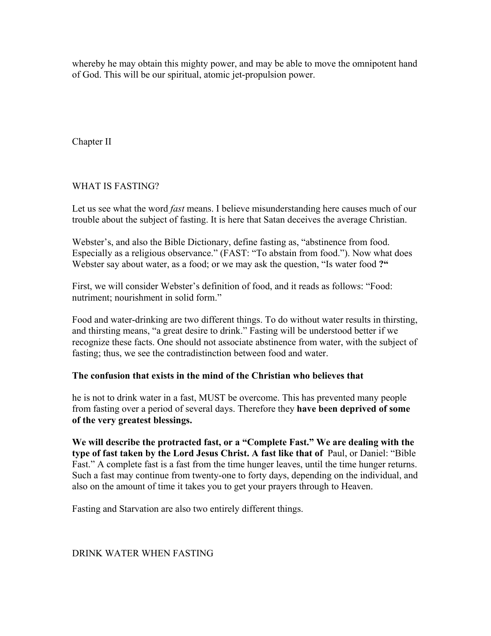whereby he may obtain this mighty power, and may be able to move the omnipotent hand of God. This will be our spiritual, atomic jet-propulsion power.

Chapter II

# WHAT IS FASTING?

Let us see what the word *fast* means. I believe misunderstanding here causes much of our trouble about the subject of fasting. It is here that Satan deceives the average Christian.

Webster's, and also the Bible Dictionary, define fasting as, "abstinence from food. Especially as a religious observance." (FAST: "To abstain from food."). Now what does Webster say about water, as a food; or we may ask the question, "Is water food **?"** 

First, we will consider Webster's definition of food, and it reads as follows: "Food: nutriment; nourishment in solid form."

Food and water-drinking are two different things. To do without water results in thirsting, and thirsting means, "a great desire to drink." Fasting will be understood better if we recognize these facts. One should not associate abstinence from water, with the subject of fasting; thus, we see the contradistinction between food and water.

### **The confusion that exists in the mind of the Christian who believes that**

he is not to drink water in a fast, MUST be overcome. This has prevented many people from fasting over a period of several days. Therefore they **have been deprived of some of the very greatest blessings.** 

**We will describe the protracted fast, or a "Complete Fast." We are dealing with the type of fast taken by the Lord Jesus Christ. A fast like that of** Paul, or Daniel: "Bible Fast." A complete fast is a fast from the time hunger leaves, until the time hunger returns. Such a fast may continue from twenty-one to forty days, depending on the individual, and also on the amount of time it takes you to get your prayers through to Heaven.

Fasting and Starvation are also two entirely different things.

DRINK WATER WHEN FASTING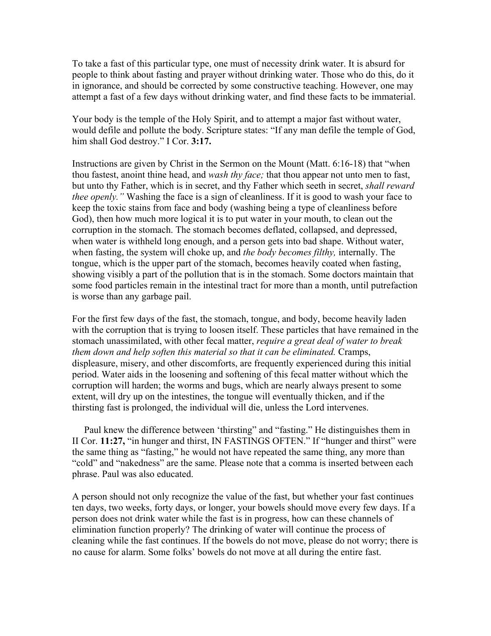To take a fast of this particular type, one must of necessity drink water. It is absurd for people to think about fasting and prayer without drinking water. Those who do this, do it in ignorance, and should be corrected by some constructive teaching. However, one may attempt a fast of a few days without drinking water, and find these facts to be immaterial.

Your body is the temple of the Holy Spirit, and to attempt a major fast without water, would defile and pollute the body. Scripture states: "If any man defile the temple of God, him shall God destroy." I Cor. **3:17.** 

Instructions are given by Christ in the Sermon on the Mount (Matt. 6:16-18) that "when thou fastest, anoint thine head, and *wash thy face;* that thou appear not unto men to fast, but unto thy Father, which is in secret, and thy Father which seeth in secret, *shall reward thee openly.*" Washing the face is a sign of cleanliness. If it is good to wash your face to keep the toxic stains from face and body (washing being a type of cleanliness before God), then how much more logical it is to put water in your mouth, to clean out the corruption in the stomach. The stomach becomes deflated, collapsed, and depressed, when water is withheld long enough, and a person gets into bad shape. Without water, when fasting, the system will choke up, and *the body becomes filthy,* internally. The tongue, which is the upper part of the stomach, becomes heavily coated when fasting, showing visibly a part of the pollution that is in the stomach. Some doctors maintain that some food particles remain in the intestinal tract for more than a month, until putrefaction is worse than any garbage pail.

For the first few days of the fast, the stomach, tongue, and body, become heavily laden with the corruption that is trying to loosen itself. These particles that have remained in the stomach unassimilated, with other fecal matter, *require a great deal of water to break them down and help soften this material so that it can be eliminated.* Cramps, displeasure, misery, and other discomforts, are frequently experienced during this initial period. Water aids in the loosening and softening of this fecal matter without which the corruption will harden; the worms and bugs, which are nearly always present to some extent, will dry up on the intestines, the tongue will eventually thicken, and if the thirsting fast is prolonged, the individual will die, unless the Lord intervenes.

 Paul knew the difference between 'thirsting" and "fasting." He distinguishes them in II Cor. **11:27,** "in hunger and thirst, IN FASTINGS OFTEN." If "hunger and thirst" were the same thing as "fasting," he would not have repeated the same thing, any more than "cold" and "nakedness" are the same. Please note that a comma is inserted between each phrase. Paul was also educated.

A person should not only recognize the value of the fast, but whether your fast continues ten days, two weeks, forty days, or longer, your bowels should move every few days. If a person does not drink water while the fast is in progress, how can these channels of elimination function properly? The drinking of water will continue the process of cleaning while the fast continues. If the bowels do not move, please do not worry; there is no cause for alarm. Some folks' bowels do not move at all during the entire fast.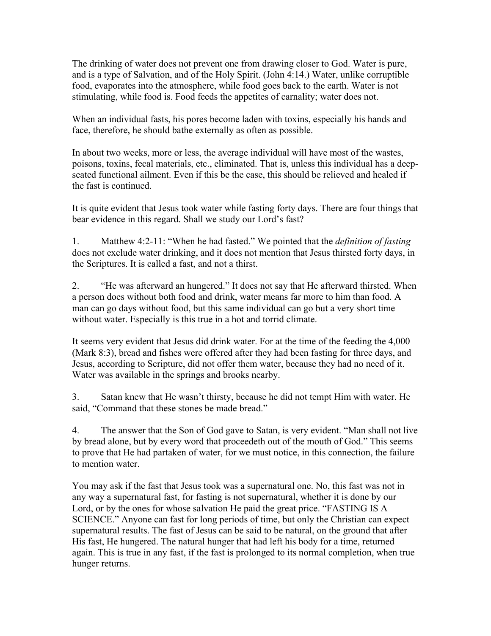The drinking of water does not prevent one from drawing closer to God. Water is pure, and is a type of Salvation, and of the Holy Spirit. (John 4:14.) Water, unlike corruptible food, evaporates into the atmosphere, while food goes back to the earth. Water is not stimulating, while food is. Food feeds the appetites of carnality; water does not.

When an individual fasts, his pores become laden with toxins, especially his hands and face, therefore, he should bathe externally as often as possible.

In about two weeks, more or less, the average individual will have most of the wastes, poisons, toxins, fecal materials, etc., eliminated. That is, unless this individual has a deepseated functional ailment. Even if this be the case, this should be relieved and healed if the fast is continued.

It is quite evident that Jesus took water while fasting forty days. There are four things that bear evidence in this regard. Shall we study our Lord's fast?

1. Matthew 4:2-11: "When he had fasted." We pointed that the *definition of fasting*  does not exclude water drinking, and it does not mention that Jesus thirsted forty days, in the Scriptures. It is called a fast, and not a thirst.

2. "He was afterward an hungered." It does not say that He afterward thirsted. When a person does without both food and drink, water means far more to him than food. A man can go days without food, but this same individual can go but a very short time without water. Especially is this true in a hot and torrid climate.

It seems very evident that Jesus did drink water. For at the time of the feeding the 4,000 (Mark 8:3), bread and fishes were offered after they had been fasting for three days, and Jesus, according to Scripture, did not offer them water, because they had no need of it. Water was available in the springs and brooks nearby.

3. Satan knew that He wasn't thirsty, because he did not tempt Him with water. He said, "Command that these stones be made bread."

4. The answer that the Son of God gave to Satan, is very evident. "Man shall not live by bread alone, but by every word that proceedeth out of the mouth of God." This seems to prove that He had partaken of water, for we must notice, in this connection, the failure to mention water.

You may ask if the fast that Jesus took was a supernatural one. No, this fast was not in any way a supernatural fast, for fasting is not supernatural, whether it is done by our Lord, or by the ones for whose salvation He paid the great price. "FASTING IS A SCIENCE." Anyone can fast for long periods of time, but only the Christian can expect supernatural results. The fast of Jesus can be said to be natural, on the ground that after His fast, He hungered. The natural hunger that had left his body for a time, returned again. This is true in any fast, if the fast is prolonged to its normal completion, when true hunger returns.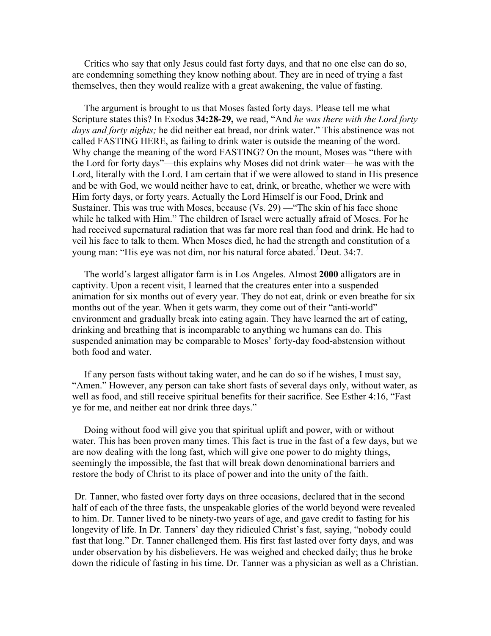Critics who say that only Jesus could fast forty days, and that no one else can do so, are condemning something they know nothing about. They are in need of trying a fast themselves, then they would realize with a great awakening, the value of fasting.

 The argument is brought to us that Moses fasted forty days. Please tell me what Scripture states this? In Exodus **34:28-29,** we read, "And *he was there with the Lord forty days and forty nights;* he did neither eat bread, nor drink water." This abstinence was not called FASTING HERE, as failing to drink water is outside the meaning of the word. Why change the meaning of the word FASTING? On the mount, Moses was "there with the Lord for forty days"—this explains why Moses did not drink water—he was with the Lord, literally with the Lord. I am certain that if we were allowed to stand in His presence and be with God, we would neither have to eat, drink, or breathe, whether we were with Him forty days, or forty years. Actually the Lord Himself is our Food, Drink and Sustainer. This was true with Moses, because (Vs. 29) —"The skin of his face shone while he talked with Him." The children of Israel were actually afraid of Moses. For he had received supernatural radiation that was far more real than food and drink. He had to veil his face to talk to them. When Moses died, he had the strength and constitution of a young man: "His eye was not dim, nor his natural force abated.<sup>7</sup> Deut. 34:7.

 The world's largest alligator farm is in Los Angeles. Almost **2000** alligators are in captivity. Upon a recent visit, I learned that the creatures enter into a suspended animation for six months out of every year. They do not eat, drink or even breathe for six months out of the year. When it gets warm, they come out of their "anti-world" environment and gradually break into eating again. They have learned the art of eating, drinking and breathing that is incomparable to anything we humans can do. This suspended animation may be comparable to Moses' forty-day food-abstension without both food and water.

 If any person fasts without taking water, and he can do so if he wishes, I must say, "Amen." However, any person can take short fasts of several days only, without water, as well as food, and still receive spiritual benefits for their sacrifice. See Esther 4:16, "Fast ye for me, and neither eat nor drink three days."

 Doing without food will give you that spiritual uplift and power, with or without water. This has been proven many times. This fact is true in the fast of a few days, but we are now dealing with the long fast, which will give one power to do mighty things, seemingly the impossible, the fast that will break down denominational barriers and restore the body of Christ to its place of power and into the unity of the faith.

 Dr. Tanner, who fasted over forty days on three occasions, declared that in the second half of each of the three fasts, the unspeakable glories of the world beyond were revealed to him. Dr. Tanner lived to be ninety-two years of age, and gave credit to fasting for his longevity of life. In Dr. Tanners' day they ridiculed Christ's fast, saying, "nobody could fast that long." Dr. Tanner challenged them. His first fast lasted over forty days, and was under observation by his disbelievers. He was weighed and checked daily; thus he broke down the ridicule of fasting in his time. Dr. Tanner was a physician as well as a Christian.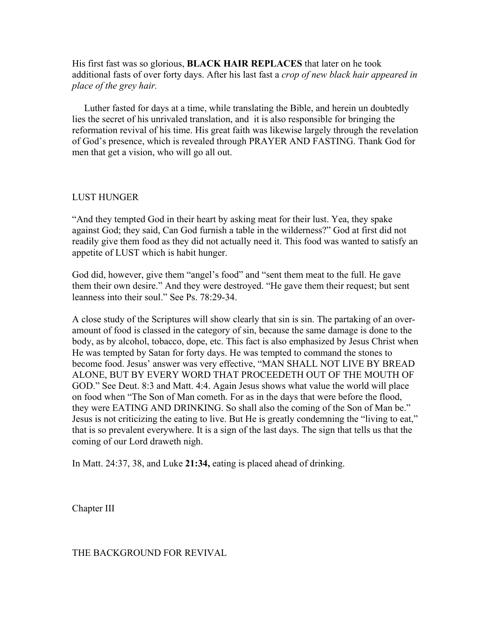His first fast was so glorious, **BLACK HAIR REPLACES** that later on he took additional fasts of over forty days. After his last fast a *crop of new black hair appeared in place of the grey hair.* 

Luther fasted for days at a time, while translating the Bible, and herein un doubtedly lies the secret of his unrivaled translation, and it is also responsible for bringing the reformation revival of his time. His great faith was likewise largely through the revelation of God's presence, which is revealed through PRAYER AND FASTING. Thank God for men that get a vision, who will go all out.

### LUST HUNGER

"And they tempted God in their heart by asking meat for their lust. Yea, they spake against God; they said, Can God furnish a table in the wilderness?" God at first did not readily give them food as they did not actually need it. This food was wanted to satisfy an appetite of LUST which is habit hunger.

God did, however, give them "angel's food" and "sent them meat to the full. He gave them their own desire." And they were destroyed. "He gave them their request; but sent leanness into their soul." See Ps. 78:29-34.

A close study of the Scriptures will show clearly that sin is sin. The partaking of an overamount of food is classed in the category of sin, because the same damage is done to the body, as by alcohol, tobacco, dope, etc. This fact is also emphasized by Jesus Christ when He was tempted by Satan for forty days. He was tempted to command the stones to become food. Jesus' answer was very effective, "MAN SHALL NOT LIVE BY BREAD ALONE, BUT BY EVERY WORD THAT PROCEEDETH OUT OF THE MOUTH OF GOD." See Deut. 8:3 and Matt. 4:4. Again Jesus shows what value the world will place on food when "The Son of Man cometh. For as in the days that were before the flood, they were EATING AND DRINKING. So shall also the coming of the Son of Man be." Jesus is not criticizing the eating to live. But He is greatly condemning the "living to eat," that is so prevalent everywhere. It is a sign of the last days. The sign that tells us that the coming of our Lord draweth nigh.

In Matt. 24:37, 38, and Luke **21:34,** eating is placed ahead of drinking.

Chapter III

THE BACKGROUND FOR REVIVAL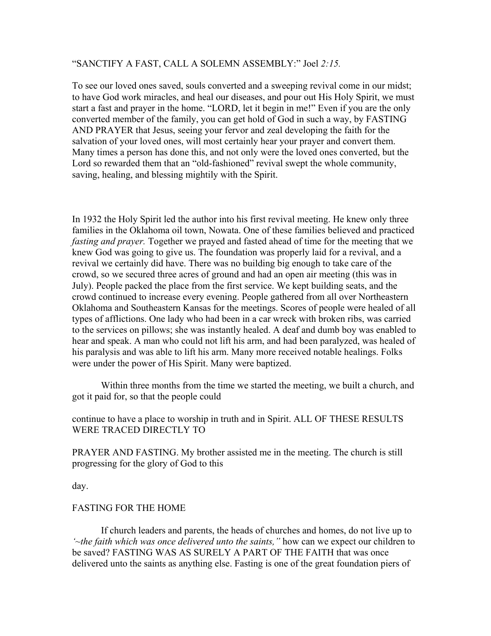### "SANCTIFY A FAST, CALL A SOLEMN ASSEMBLY:" Joel *2:15.*

To see our loved ones saved, souls converted and a sweeping revival come in our midst; to have God work miracles, and heal our diseases, and pour out His Holy Spirit, we must start a fast and prayer in the home. "LORD, let it begin in me!" Even if you are the only converted member of the family, you can get hold of God in such a way, by FASTING AND PRAYER that Jesus, seeing your fervor and zeal developing the faith for the salvation of your loved ones, will most certainly hear your prayer and convert them. Many times a person has done this, and not only were the loved ones converted, but the Lord so rewarded them that an "old-fashioned" revival swept the whole community, saving, healing, and blessing mightily with the Spirit.

In 1932 the Holy Spirit led the author into his first revival meeting. He knew only three families in the Oklahoma oil town, Nowata. One of these families believed and practiced *fasting and prayer.* Together we prayed and fasted ahead of time for the meeting that we knew God was going to give us. The foundation was properly laid for a revival, and a revival we certainly did have. There was no building big enough to take care of the crowd, so we secured three acres of ground and had an open air meeting (this was in July). People packed the place from the first service. We kept building seats, and the crowd continued to increase every evening. People gathered from all over Northeastern Oklahoma and Southeastern Kansas for the meetings. Scores of people were healed of all types of afflictions. One lady who had been in a car wreck with broken ribs, was carried to the services on pillows; she was instantly healed. A deaf and dumb boy was enabled to hear and speak. A man who could not lift his arm, and had been paralyzed, was healed of his paralysis and was able to lift his arm. Many more received notable healings. Folks were under the power of His Spirit. Many were baptized.

 Within three months from the time we started the meeting, we built a church, and got it paid for, so that the people could

### continue to have a place to worship in truth and in Spirit. ALL OF THESE RESULTS WERE TRACED DIRECTLY TO

PRAYER AND FASTING. My brother assisted me in the meeting. The church is still progressing for the glory of God to this

day.

### FASTING FOR THE HOME

 If church leaders and parents, the heads of churches and homes, do not live up to *'~the faith which was once delivered unto the saints,"* how can we expect our children to be saved? FASTING WAS AS SURELY A PART OF THE FAITH that was once delivered unto the saints as anything else. Fasting is one of the great foundation piers of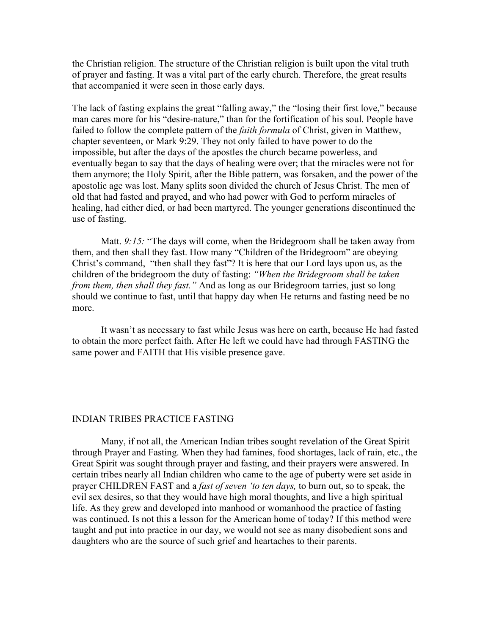the Christian religion. The structure of the Christian religion is built upon the vital truth of prayer and fasting. It was a vital part of the early church. Therefore, the great results that accompanied it were seen in those early days.

The lack of fasting explains the great "falling away," the "losing their first love," because man cares more for his "desire-nature," than for the fortification of his soul. People have failed to follow the complete pattern of the *faith formula* of Christ, given in Matthew, chapter seventeen, or Mark 9:29. They not only failed to have power to do the impossible, but after the days of the apostles the church became powerless, and eventually began to say that the days of healing were over; that the miracles were not for them anymore; the Holy Spirit, after the Bible pattern, was forsaken, and the power of the apostolic age was lost. Many splits soon divided the church of Jesus Christ. The men of old that had fasted and prayed, and who had power with God to perform miracles of healing, had either died, or had been martyred. The younger generations discontinued the use of fasting.

Matt. 9:15: "The days will come, when the Bridegroom shall be taken away from them, and then shall they fast. How many "Children of the Bridegroom" are obeying Christ's command, "then shall they fast"? It is here that our Lord lays upon us, as the children of the bridegroom the duty of fasting: *"When the Bridegroom shall be taken from them, then shall they fast.*" And as long as our Bridegroom tarries, just so long should we continue to fast, until that happy day when He returns and fasting need be no more.

 It wasn't as necessary to fast while Jesus was here on earth, because He had fasted to obtain the more perfect faith. After He left we could have had through FASTING the same power and FAITH that His visible presence gave.

#### INDIAN TRIBES PRACTICE FASTING

 Many, if not all, the American Indian tribes sought revelation of the Great Spirit through Prayer and Fasting. When they had famines, food shortages, lack of rain, etc., the Great Spirit was sought through prayer and fasting, and their prayers were answered. In certain tribes nearly all Indian children who came to the age of puberty were set aside in prayer CHILDREN FAST and a *fast of seven 'to ten days,* to burn out, so to speak, the evil sex desires, so that they would have high moral thoughts, and live a high spiritual life. As they grew and developed into manhood or womanhood the practice of fasting was continued. Is not this a lesson for the American home of today? If this method were taught and put into practice in our day, we would not see as many disobedient sons and daughters who are the source of such grief and heartaches to their parents.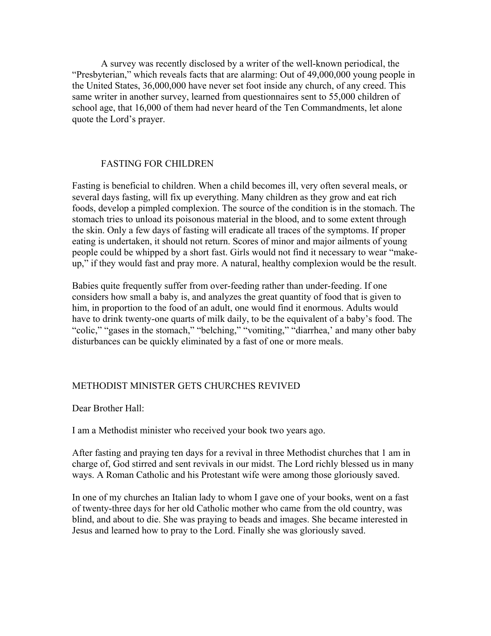A survey was recently disclosed by a writer of the well-known periodical, the "Presbyterian," which reveals facts that are alarming: Out of 49,000,000 young people in the United States, 36,000,000 have never set foot inside any church, of any creed. This same writer in another survey, learned from questionnaires sent to 55,000 children of school age, that 16,000 of them had never heard of the Ten Commandments, let alone quote the Lord's prayer.

#### FASTING FOR CHILDREN

Fasting is beneficial to children. When a child becomes ill, very often several meals, or several days fasting, will fix up everything. Many children as they grow and eat rich foods, develop a pimpled complexion. The source of the condition is in the stomach. The stomach tries to unload its poisonous material in the blood, and to some extent through the skin. Only a few days of fasting will eradicate all traces of the symptoms. If proper eating is undertaken, it should not return. Scores of minor and major ailments of young people could be whipped by a short fast. Girls would not find it necessary to wear "makeup," if they would fast and pray more. A natural, healthy complexion would be the result.

Babies quite frequently suffer from over-feeding rather than under-feeding. If one considers how small a baby is, and analyzes the great quantity of food that is given to him, in proportion to the food of an adult, one would find it enormous. Adults would have to drink twenty-one quarts of milk daily, to be the equivalent of a baby's food. The "colic," "gases in the stomach," "belching," "vomiting," "diarrhea,' and many other baby disturbances can be quickly eliminated by a fast of one or more meals.

### METHODIST MINISTER GETS CHURCHES REVIVED

Dear Brother Hall:

I am a Methodist minister who received your book two years ago.

After fasting and praying ten days for a revival in three Methodist churches that 1 am in charge of, God stirred and sent revivals in our midst. The Lord richly blessed us in many ways. A Roman Catholic and his Protestant wife were among those gloriously saved.

In one of my churches an Italian lady to whom I gave one of your books, went on a fast of twenty-three days for her old Catholic mother who came from the old country, was blind, and about to die. She was praying to beads and images. She became interested in Jesus and learned how to pray to the Lord. Finally she was gloriously saved.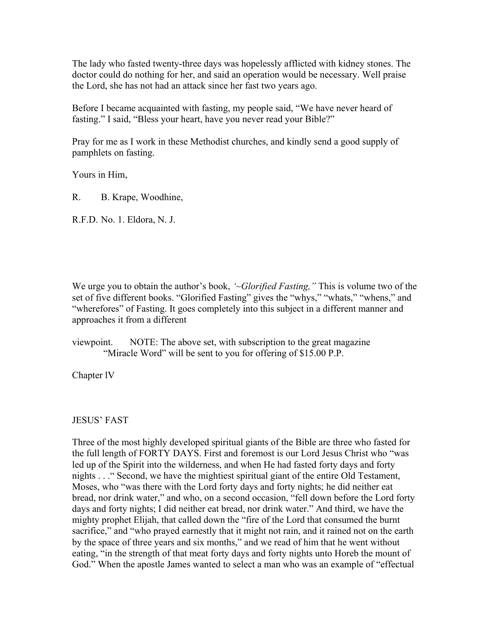The lady who fasted twenty-three days was hopelessly afflicted with kidney stones. The doctor could do nothing for her, and said an operation would be necessary. Well praise the Lord, she has not had an attack since her fast two years ago.

Before I became acquainted with fasting, my people said, "We have never heard of fasting." I said, "Bless your heart, have you never read your Bible?"

Pray for me as I work in these Methodist churches, and kindly send a good supply of pamphlets on fasting.

Yours in Him,

R. B. Krape, Woodhine,

R.F.D. No. 1. Eldora, N. J.

We urge you to obtain the author's book, *'~Glorified Fasting,"* This is volume two of the set of five different books. "Glorified Fasting" gives the "whys," "whats," "whens," and "wherefores" of Fasting. It goes completely into this subject in a different manner and approaches it from a different

viewpoint. NOTE: The above set, with subscription to the great magazine "Miracle Word" will be sent to you for offering of \$15.00 P.P.

Chapter lV

JESUS' FAST

Three of the most highly developed spiritual giants of the Bible are three who fasted for the full length of FORTY DAYS. First and foremost is our Lord Jesus Christ who "was led up of the Spirit into the wilderness, and when He had fasted forty days and forty nights . . ." Second, we have the mightiest spiritual giant of the entire Old Testament, Moses, who "was there with the Lord forty days and forty nights; he did neither eat bread, nor drink water," and who, on a second occasion, "fell down before the Lord forty days and forty nights; I did neither eat bread, nor drink water." And third, we have the mighty prophet Elijah, that called down the "fire of the Lord that consumed the burnt sacrifice," and "who prayed earnestly that it might not rain, and it rained not on the earth by the space of three years and six months," and we read of him that he went without eating, "in the strength of that meat forty days and forty nights unto Horeb the mount of God." When the apostle James wanted to select a man who was an example of "effectual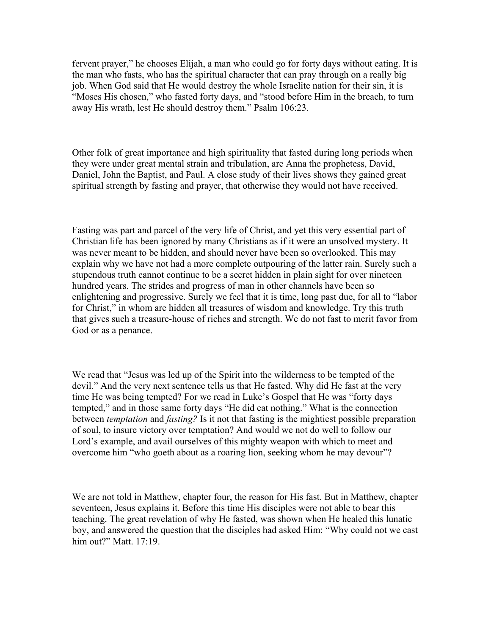fervent prayer," he chooses Elijah, a man who could go for forty days without eating. It is the man who fasts, who has the spiritual character that can pray through on a really big job. When God said that He would destroy the whole Israelite nation for their sin, it is "Moses His chosen," who fasted forty days, and "stood before Him in the breach, to turn away His wrath, lest He should destroy them." Psalm 106:23.

Other folk of great importance and high spirituality that fasted during long periods when they were under great mental strain and tribulation, are Anna the prophetess, David, Daniel, John the Baptist, and Paul. A close study of their lives shows they gained great spiritual strength by fasting and prayer, that otherwise they would not have received.

Fasting was part and parcel of the very life of Christ, and yet this very essential part of Christian life has been ignored by many Christians as if it were an unsolved mystery. It was never meant to be hidden, and should never have been so overlooked. This may explain why we have not had a more complete outpouring of the latter rain. Surely such a stupendous truth cannot continue to be a secret hidden in plain sight for over nineteen hundred years. The strides and progress of man in other channels have been so enlightening and progressive. Surely we feel that it is time, long past due, for all to "labor for Christ," in whom are hidden all treasures of wisdom and knowledge. Try this truth that gives such a treasure-house of riches and strength. We do not fast to merit favor from God or as a penance.

We read that "Jesus was led up of the Spirit into the wilderness to be tempted of the devil." And the very next sentence tells us that He fasted. Why did He fast at the very time He was being tempted? For we read in Luke's Gospel that He was "forty days tempted," and in those same forty days "He did eat nothing." What is the connection between *temptation* and *fasting?* Is it not that fasting is the mightiest possible preparation of soul, to insure victory over temptation? And would we not do well to follow our Lord's example, and avail ourselves of this mighty weapon with which to meet and overcome him "who goeth about as a roaring lion, seeking whom he may devour"?

We are not told in Matthew, chapter four, the reason for His fast. But in Matthew, chapter seventeen, Jesus explains it. Before this time His disciples were not able to bear this teaching. The great revelation of why He fasted, was shown when He healed this lunatic boy, and answered the question that the disciples had asked Him: "Why could not we cast him out?" Matt. 17:19.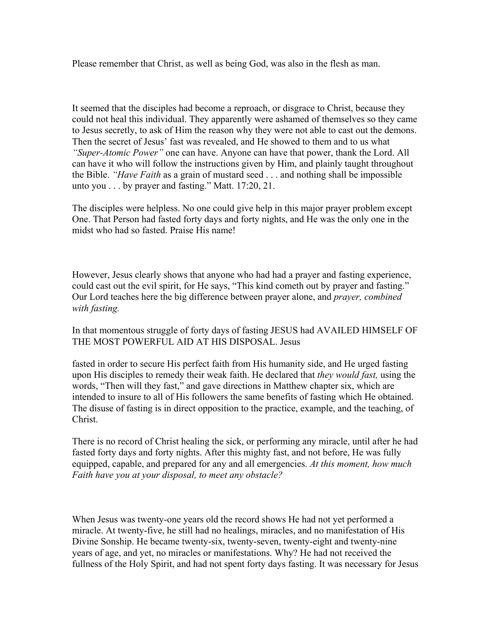Please remember that Christ, as well as being God, was also in the flesh as man.

It seemed that the disciples had become a reproach, or disgrace to Christ, because they could not heal this individual. They apparently were ashamed of themselves so they came to Jesus secretly, to ask of Him the reason why they were not able to cast out the demons. Then the secret of Jesus' fast was revealed, and He showed to them and to us what *"Super-Atomic Power"* one can have. Anyone can have that power, thank the Lord. All can have it who will follow the instructions given by Him, and plainly taught throughout the Bible. *"Have Faith* as a grain of mustard seed . . . and nothing shall be impossible unto you . . . by prayer and fasting." Matt. 17:20, 21.

The disciples were helpless. No one could give help in this major prayer problem except One. That Person had fasted forty days and forty nights, and He was the only one in the midst who had so fasted. Praise His name!

However, Jesus clearly shows that anyone who had had a prayer and fasting experience, could cast out the evil spirit, for He says, "This kind cometh out by prayer and fasting." Our Lord teaches here the big difference between prayer alone, and *prayer, combined with fasting.* 

In that momentous struggle of forty days of fasting JESUS had AVAILED HIMSELF OF THE MOST POWERFUL AID AT HIS DISPOSAL. Jesus

fasted in order to secure His perfect faith from His humanity side, and He urged fasting upon His disciples to remedy their weak faith. He declared that *they would fast,* using the words, "Then will they fast," and gave directions in Matthew chapter six, which are intended to insure to all of His followers the same benefits of fasting which He obtained. The disuse of fasting is in direct opposition to the practice, example, and the teaching, of Christ.

There is no record of Christ healing the sick, or performing any miracle, until after he had fasted forty days and forty nights. After this mighty fast, and not before, He was fully equipped, capable, and prepared for any and all emergencies. *At this moment, how much Faith have you at your disposal, to meet any obstacle?* 

When Jesus was twenty-one years old the record shows He had not yet performed a miracle. At twenty-five, he still had no healings, miracles, and no manifestation of His Divine Sonship. He became twenty-six, twenty-seven, twenty-eight and twenty-nine years of age, and yet, no miracles or manifestations. Why? He had not received the fullness of the Holy Spirit, and had not spent forty days fasting. It was necessary for Jesus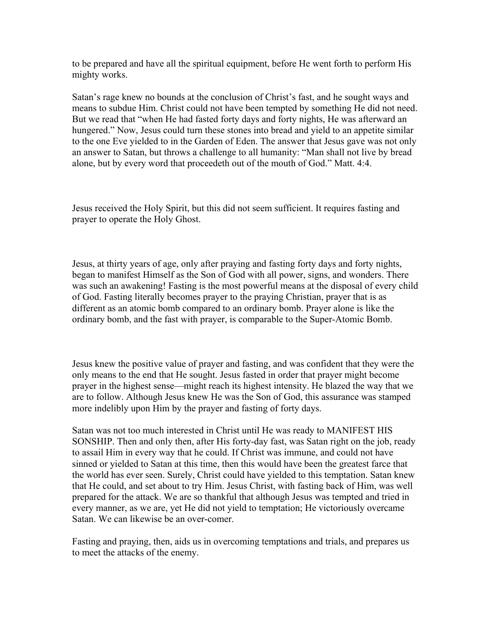to be prepared and have all the spiritual equipment, before He went forth to perform His mighty works.

Satan's rage knew no bounds at the conclusion of Christ's fast, and he sought ways and means to subdue Him. Christ could not have been tempted by something He did not need. But we read that "when He had fasted forty days and forty nights, He was afterward an hungered." Now, Jesus could turn these stones into bread and yield to an appetite similar to the one Eve yielded to in the Garden of Eden. The answer that Jesus gave was not only an answer to Satan, but throws a challenge to all humanity: "Man shall not live by bread alone, but by every word that proceedeth out of the mouth of God." Matt. 4:4.

Jesus received the Holy Spirit, but this did not seem sufficient. It requires fasting and prayer to operate the Holy Ghost.

Jesus, at thirty years of age, only after praying and fasting forty days and forty nights, began to manifest Himself as the Son of God with all power, signs, and wonders. There was such an awakening! Fasting is the most powerful means at the disposal of every child of God. Fasting literally becomes prayer to the praying Christian, prayer that is as different as an atomic bomb compared to an ordinary bomb. Prayer alone is like the ordinary bomb, and the fast with prayer, is comparable to the Super-Atomic Bomb.

Jesus knew the positive value of prayer and fasting, and was confident that they were the only means to the end that He sought. Jesus fasted in order that prayer might become prayer in the highest sense—might reach its highest intensity. He blazed the way that we are to follow. Although Jesus knew He was the Son of God, this assurance was stamped more indelibly upon Him by the prayer and fasting of forty days.

Satan was not too much interested in Christ until He was ready to MANIFEST HIS SONSHIP. Then and only then, after His forty-day fast, was Satan right on the job, ready to assail Him in every way that he could. If Christ was immune, and could not have sinned or yielded to Satan at this time, then this would have been the greatest farce that the world has ever seen. Surely, Christ could have yielded to this temptation. Satan knew that He could, and set about to try Him. Jesus Christ, with fasting back of Him, was well prepared for the attack. We are so thankful that although Jesus was tempted and tried in every manner, as we are, yet He did not yield to temptation; He victoriously overcame Satan. We can likewise be an over-comer.

Fasting and praying, then, aids us in overcoming temptations and trials, and prepares us to meet the attacks of the enemy.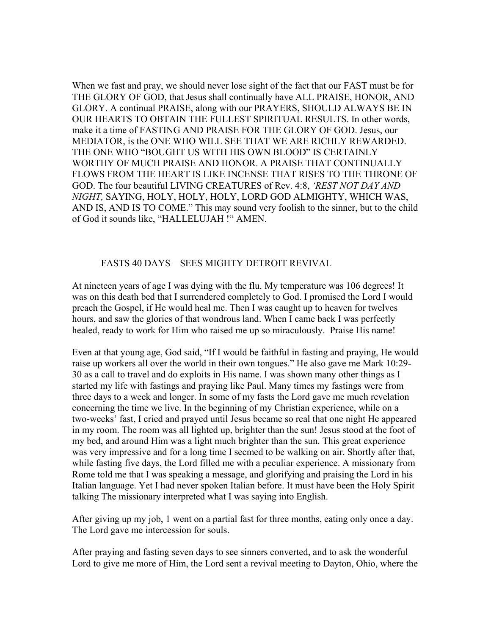When we fast and pray, we should never lose sight of the fact that our FAST must be for THE GLORY OF GOD, that Jesus shall continually have ALL PRAISE, HONOR, AND GLORY. A continual PRAISE, along with our PRAYERS, SHOULD ALWAYS BE IN OUR HEARTS TO OBTAIN THE FULLEST SPIRITUAL RESULTS. In other words, make it a time of FASTING AND PRAISE FOR THE GLORY OF GOD. Jesus, our MEDIATOR, is the ONE WHO WILL SEE THAT WE ARE RICHLY REWARDED. THE ONE WHO "BOUGHT US WITH HIS OWN BLOOD" IS CERTAINLY WORTHY OF MUCH PRAISE AND HONOR. A PRAISE THAT CONTINUALLY FLOWS FROM THE HEART IS LIKE INCENSE THAT RISES TO THE THRONE OF GOD. The four beautiful LIVING CREATURES of Rev. 4:8, *'REST NOT DAY AND NIGHT,* SAYING, HOLY, HOLY, HOLY, LORD GOD ALMIGHTY, WHICH WAS, AND IS, AND IS TO COME." This may sound very foolish to the sinner, but to the child of God it sounds like, "HALLELUJAH !" AMEN.

#### FASTS 40 DAYS—SEES MIGHTY DETROIT REVIVAL

At nineteen years of age I was dying with the flu. My temperature was 106 degrees! It was on this death bed that I surrendered completely to God. I promised the Lord I would preach the Gospel, if He would heal me. Then I was caught up to heaven for twelves hours, and saw the glories of that wondrous land. When I came back I was perfectly healed, ready to work for Him who raised me up so miraculously. Praise His name!

Even at that young age, God said, "If I would be faithful in fasting and praying, He would raise up workers all over the world in their own tongues." He also gave me Mark 10:29- 30 as a call to travel and do exploits in His name. I was shown many other things as I started my life with fastings and praying like Paul. Many times my fastings were from three days to a week and longer. In some of my fasts the Lord gave me much revelation concerning the time we live. In the beginning of my Christian experience, while on a two-weeks' fast, I cried and prayed until Jesus became so real that one night He appeared in my room. The room was all lighted up, brighter than the sun! Jesus stood at the foot of my bed, and around Him was a light much brighter than the sun. This great experience was very impressive and for a long time I secmed to be walking on air. Shortly after that, while fasting five days, the Lord filled me with a peculiar experience. A missionary from Rome told me that I was speaking a message, and glorifying and praising the Lord in his Italian language. Yet I had never spoken Italian before. It must have been the Holy Spirit talking The missionary interpreted what I was saying into English.

After giving up my job, 1 went on a partial fast for three months, eating only once a day. The Lord gave me intercession for souls.

After praying and fasting seven days to see sinners converted, and to ask the wonderful Lord to give me more of Him, the Lord sent a revival meeting to Dayton, Ohio, where the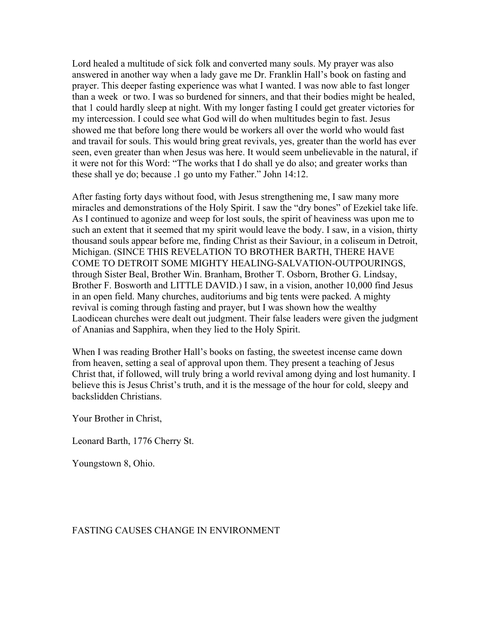Lord healed a multitude of sick folk and converted many souls. My prayer was also answered in another way when a lady gave me Dr. Franklin Hall's book on fasting and prayer. This deeper fasting experience was what I wanted. I was now able to fast longer than a week or two. I was so burdened for sinners, and that their bodies might be healed, that 1 could hardly sleep at night. With my longer fasting I could get greater victories for my intercession. I could see what God will do when multitudes begin to fast. Jesus showed me that before long there would be workers all over the world who would fast and travail for souls. This would bring great revivals, yes, greater than the world has ever seen, even greater than when Jesus was here. It would seem unbelievable in the natural, if it were not for this Word: "The works that I do shall ye do also; and greater works than these shall ye do; because .1 go unto my Father." John 14:12.

After fasting forty days without food, with Jesus strengthening me, I saw many more miracles and demonstrations of the Holy Spirit. I saw the "dry bones" of Ezekiel take life. As I continued to agonize and weep for lost souls, the spirit of heaviness was upon me to such an extent that it seemed that my spirit would leave the body. I saw, in a vision, thirty thousand souls appear before me, finding Christ as their Saviour, in a coliseum in Detroit, Michigan. (SINCE THIS REVELATION TO BROTHER BARTH, THERE HAVE COME TO DETROIT SOME MIGHTY HEALING-SALVATION-OUTPOURINGS, through Sister Beal, Brother Win. Branham, Brother T. Osborn, Brother G. Lindsay, Brother F. Bosworth and LITTLE DAVID.) I saw, in a vision, another 10,000 find Jesus in an open field. Many churches, auditoriums and big tents were packed. A mighty revival is coming through fasting and prayer, but I was shown how the wealthy Laodicean churches were dealt out judgment. Their false leaders were given the judgment of Ananias and Sapphira, when they lied to the Holy Spirit.

When I was reading Brother Hall's books on fasting, the sweetest incense came down from heaven, setting a seal of approval upon them. They present a teaching of Jesus Christ that, if followed, will truly bring a world revival among dying and lost humanity. I believe this is Jesus Christ's truth, and it is the message of the hour for cold, sleepy and backslidden Christians.

Your Brother in Christ,

Leonard Barth, 1776 Cherry St.

Youngstown 8, Ohio.

### FASTING CAUSES CHANGE IN ENVIRONMENT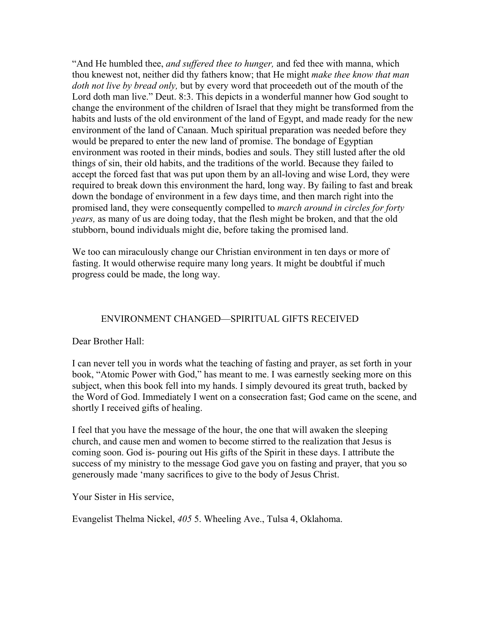"And He humbled thee, *and suffered thee to hunger,* and fed thee with manna, which thou knewest not, neither did thy fathers know; that He might *make thee know that man doth not live by bread only,* but by every word that proceedeth out of the mouth of the Lord doth man live." Deut. 8:3. This depicts in a wonderful manner how God sought to change the environment of the children of Israel that they might be transformed from the habits and lusts of the old environment of the land of Egypt, and made ready for the new environment of the land of Canaan. Much spiritual preparation was needed before they would be prepared to enter the new land of promise. The bondage of Egyptian environment was rooted in their minds, bodies and souls. They still lusted after the old things of sin, their old habits, and the traditions of the world. Because they failed to accept the forced fast that was put upon them by an all-loving and wise Lord, they were required to break down this environment the hard, long way. By failing to fast and break down the bondage of environment in a few days time, and then march right into the promised land, they were consequently compelled to *march around in circles for forty years,* as many of us are doing today, that the flesh might be broken, and that the old stubborn, bound individuals might die, before taking the promised land.

We too can miraculously change our Christian environment in ten days or more of fasting. It would otherwise require many long years. It might be doubtful if much progress could be made, the long way.

### ENVIRONMENT CHANGED—SPIRITUAL GIFTS RECEIVED

### Dear Brother Hall:

I can never tell you in words what the teaching of fasting and prayer, as set forth in your book, "Atomic Power with God," has meant to me. I was earnestly seeking more on this subject, when this book fell into my hands. I simply devoured its great truth, backed by the Word of God. Immediately I went on a consecration fast; God came on the scene, and shortly I received gifts of healing.

I feel that you have the message of the hour, the one that will awaken the sleeping church, and cause men and women to become stirred to the realization that Jesus is coming soon. God is- pouring out His gifts of the Spirit in these days. I attribute the success of my ministry to the message God gave you on fasting and prayer, that you so generously made 'many sacrifices to give to the body of Jesus Christ.

Your Sister in His service,

Evangelist Thelma Nickel, *405* 5. Wheeling Ave., Tulsa 4, Oklahoma.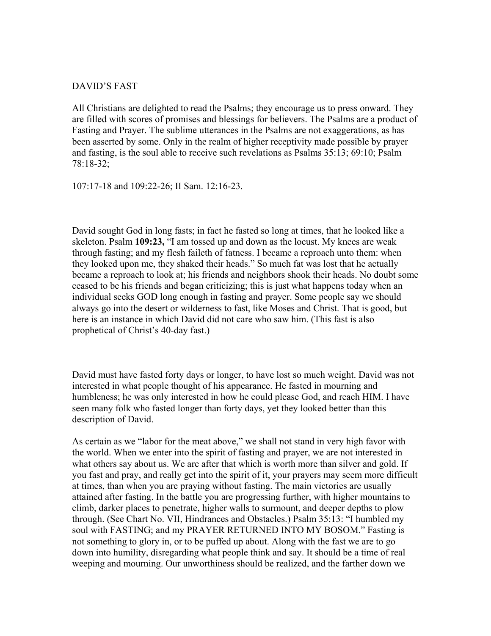### DAVID'S FAST

All Christians are delighted to read the Psalms; they encourage us to press onward. They are filled with scores of promises and blessings for believers. The Psalms are a product of Fasting and Prayer. The sublime utterances in the Psalms are not exaggerations, as has been asserted by some. Only in the realm of higher receptivity made possible by prayer and fasting, is the soul able to receive such revelations as Psalms 35:13; 69:10; Psalm 78:18-32;

107:17-18 and 109:22-26; II Sam. 12:16-23.

David sought God in long fasts; in fact he fasted so long at times, that he looked like a skeleton. Psalm **109:23,** "I am tossed up and down as the locust. My knees are weak through fasting; and my flesh faileth of fatness. I became a reproach unto them: when they looked upon me, they shaked their heads." So much fat was lost that he actually became a reproach to look at; his friends and neighbors shook their heads. No doubt some ceased to be his friends and began criticizing; this is just what happens today when an individual seeks GOD long enough in fasting and prayer. Some people say we should always go into the desert or wilderness to fast, like Moses and Christ. That is good, but here is an instance in which David did not care who saw him. (This fast is also prophetical of Christ's 40-day fast.)

David must have fasted forty days or longer, to have lost so much weight. David was not interested in what people thought of his appearance. He fasted in mourning and humbleness; he was only interested in how he could please God, and reach HIM. I have seen many folk who fasted longer than forty days, yet they looked better than this description of David.

As certain as we "labor for the meat above," we shall not stand in very high favor with the world. When we enter into the spirit of fasting and prayer, we are not interested in what others say about us. We are after that which is worth more than silver and gold. If you fast and pray, and really get into the spirit of it, your prayers may seem more difficult at times, than when you are praying without fasting. The main victories are usually attained after fasting. In the battle you are progressing further, with higher mountains to climb, darker places to penetrate, higher walls to surmount, and deeper depths to plow through. (See Chart No. VII, Hindrances and Obstacles.) Psalm 35:13: "I humbled my soul with FASTING; and my PRAYER RETURNED INTO MY BOSOM." Fasting is not something to glory in, or to be puffed up about. Along with the fast we are to go down into humility, disregarding what people think and say. It should be a time of real weeping and mourning. Our unworthiness should be realized, and the farther down we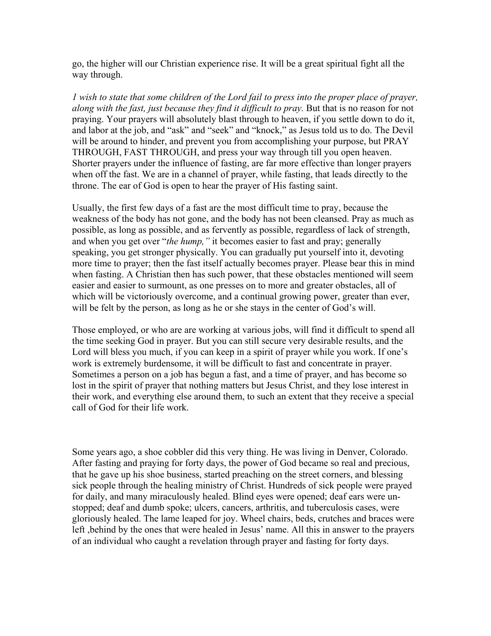go, the higher will our Christian experience rise. It will be a great spiritual fight all the way through.

*1 wish to state that some children of the Lord fail to press into the proper place of prayer, along with the fast, just because they find it difficult to pray.* But that is no reason for not praying. Your prayers will absolutely blast through to heaven, if you settle down to do it, and labor at the job, and "ask" and "seek" and "knock," as Jesus told us to do. The Devil will be around to hinder, and prevent you from accomplishing your purpose, but PRAY THROUGH, FAST THROUGH, and press your way through till you open heaven. Shorter prayers under the influence of fasting, are far more effective than longer prayers when off the fast. We are in a channel of prayer, while fasting, that leads directly to the throne. The ear of God is open to hear the prayer of His fasting saint.

Usually, the first few days of a fast are the most difficult time to pray, because the weakness of the body has not gone, and the body has not been cleansed. Pray as much as possible, as long as possible, and as fervently as possible, regardless of lack of strength, and when you get over "*the hump,"* it becomes easier to fast and pray; generally speaking, you get stronger physically. You can gradually put yourself into it, devoting more time to prayer; then the fast itself actually becomes prayer. Please bear this in mind when fasting. A Christian then has such power, that these obstacles mentioned will seem easier and easier to surmount, as one presses on to more and greater obstacles, all of which will be victoriously overcome, and a continual growing power, greater than ever, will be felt by the person, as long as he or she stays in the center of God's will.

Those employed, or who are are working at various jobs, will find it difficult to spend all the time seeking God in prayer. But you can still secure very desirable results, and the Lord will bless you much, if you can keep in a spirit of prayer while you work. If one's work is extremely burdensome, it will be difficult to fast and concentrate in prayer. Sometimes a person on a job has begun a fast, and a time of prayer, and has become so lost in the spirit of prayer that nothing matters but Jesus Christ, and they lose interest in their work, and everything else around them, to such an extent that they receive a special call of God for their life work.

Some years ago, a shoe cobbler did this very thing. He was living in Denver, Colorado. After fasting and praying for forty days, the power of God became so real and precious, that he gave up his shoe business, started preaching on the street corners, and blessing sick people through the healing ministry of Christ. Hundreds of sick people were prayed for daily, and many miraculously healed. Blind eyes were opened; deaf ears were unstopped; deaf and dumb spoke; ulcers, cancers, arthritis, and tuberculosis cases, were gloriously healed. The lame leaped for joy. Wheel chairs, beds, crutches and braces were left ,behind by the ones that were healed in Jesus' name. All this in answer to the prayers of an individual who caught a revelation through prayer and fasting for forty days.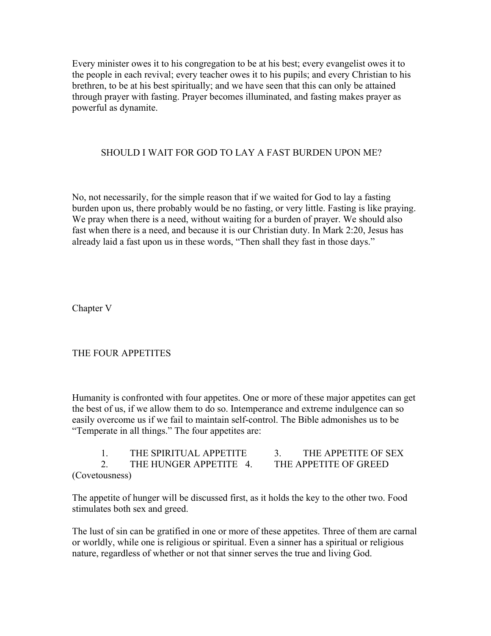Every minister owes it to his congregation to be at his best; every evangelist owes it to the people in each revival; every teacher owes it to his pupils; and every Christian to his brethren, to be at his best spiritually; and we have seen that this can only be attained through prayer with fasting. Prayer becomes illuminated, and fasting makes prayer as powerful as dynamite.

# SHOULD I WAIT FOR GOD TO LAY A FAST BURDEN UPON ME?

No, not necessarily, for the simple reason that if we waited for God to lay a fasting burden upon us, there probably would be no fasting, or very little. Fasting is like praying. We pray when there is a need, without waiting for a burden of prayer. We should also fast when there is a need, and because it is our Christian duty. In Mark 2:20, Jesus has already laid a fast upon us in these words, "Then shall they fast in those days."

Chapter V

### THE FOUR APPETITES

Humanity is confronted with four appetites. One or more of these major appetites can get the best of us, if we allow them to do so. Intemperance and extreme indulgence can so easily overcome us if we fail to maintain self-control. The Bible admonishes us to be "Temperate in all things." The four appetites are:

|                | THE SPIRITUAL APPETITE | THE APPETITE OF SEX   |  |
|----------------|------------------------|-----------------------|--|
|                | THE HUNGER APPETITE 4  | THE APPETITE OF GREED |  |
| (Covetousness) |                        |                       |  |

The appetite of hunger will be discussed first, as it holds the key to the other two. Food stimulates both sex and greed.

The lust of sin can be gratified in one or more of these appetites. Three of them are carnal or worldly, while one is religious or spiritual. Even a sinner has a spiritual or religious nature, regardless of whether or not that sinner serves the true and living God.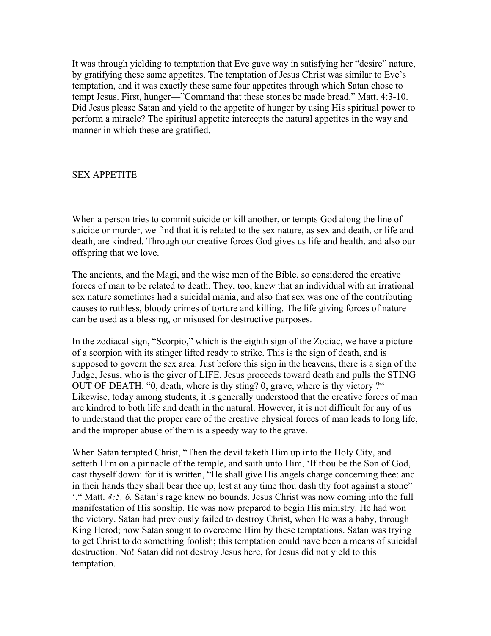It was through yielding to temptation that Eve gave way in satisfying her "desire" nature, by gratifying these same appetites. The temptation of Jesus Christ was similar to Eve's temptation, and it was exactly these same four appetites through which Satan chose to tempt Jesus. First, hunger—"Command that these stones be made bread." Matt. 4:3-10. Did Jesus please Satan and yield to the appetite of hunger by using His spiritual power to perform a miracle? The spiritual appetite intercepts the natural appetites in the way and manner in which these are gratified.

# SEX APPETITE

When a person tries to commit suicide or kill another, or tempts God along the line of suicide or murder, we find that it is related to the sex nature, as sex and death, or life and death, are kindred. Through our creative forces God gives us life and health, and also our offspring that we love.

The ancients, and the Magi, and the wise men of the Bible, so considered the creative forces of man to be related to death. They, too, knew that an individual with an irrational sex nature sometimes had a suicidal mania, and also that sex was one of the contributing causes to ruthless, bloody crimes of torture and killing. The life giving forces of nature can be used as a blessing, or misused for destructive purposes.

In the zodiacal sign, "Scorpio," which is the eighth sign of the Zodiac, we have a picture of a scorpion with its stinger lifted ready to strike. This is the sign of death, and is supposed to govern the sex area. Just before this sign in the heavens, there is a sign of the Judge, Jesus, who is the giver of LIFE. Jesus proceeds toward death and pulls the STING OUT OF DEATH. "0, death, where is thy sting? 0, grave, where is thy victory ?" Likewise, today among students, it is generally understood that the creative forces of man are kindred to both life and death in the natural. However, it is not difficult for any of us to understand that the proper care of the creative physical forces of man leads to long life, and the improper abuse of them is a speedy way to the grave.

When Satan tempted Christ, "Then the devil taketh Him up into the Holy City, and setteth Him on a pinnacle of the temple, and saith unto Him, 'If thou be the Son of God, cast thyself down: for it is written, "He shall give His angels charge concerning thee: and in their hands they shall bear thee up, lest at any time thou dash thy foot against a stone" '." Matt. *4:5, 6.* Satan's rage knew no bounds. Jesus Christ was now coming into the full manifestation of His sonship. He was now prepared to begin His ministry. He had won the victory. Satan had previously failed to destroy Christ, when He was a baby, through King Herod; now Satan sought to overcome Him by these temptations. Satan was trying to get Christ to do something foolish; this temptation could have been a means of suicidal destruction. No! Satan did not destroy Jesus here, for Jesus did not yield to this temptation.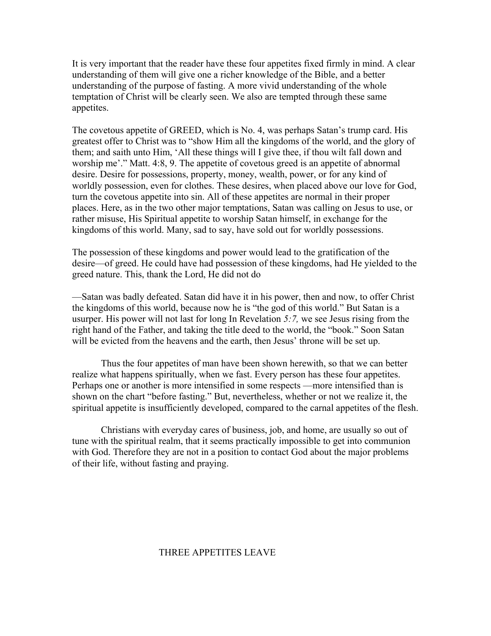It is very important that the reader have these four appetites fixed firmly in mind. A clear understanding of them will give one a richer knowledge of the Bible, and a better understanding of the purpose of fasting. A more vivid understanding of the whole temptation of Christ will be clearly seen. We also are tempted through these same appetites.

The covetous appetite of GREED, which is No. 4, was perhaps Satan's trump card. His greatest offer to Christ was to "show Him all the kingdoms of the world, and the glory of them; and saith unto Him, 'All these things will I give thee, if thou wilt fall down and worship me'." Matt. 4:8, 9. The appetite of covetous greed is an appetite of abnormal desire. Desire for possessions, property, money, wealth, power, or for any kind of worldly possession, even for clothes. These desires, when placed above our love for God, turn the covetous appetite into sin. All of these appetites are normal in their proper places. Here, as in the two other major temptations, Satan was calling on Jesus to use, or rather misuse, His Spiritual appetite to worship Satan himself, in exchange for the kingdoms of this world. Many, sad to say, have sold out for worldly possessions.

The possession of these kingdoms and power would lead to the gratification of the desire—of greed. He could have had possession of these kingdoms, had He yielded to the greed nature. This, thank the Lord, He did not do

—Satan was badly defeated. Satan did have it in his power, then and now, to offer Christ the kingdoms of this world, because now he is "the god of this world." But Satan is a usurper. His power will not last for long In Revelation *5:7,* we see Jesus rising from the right hand of the Father, and taking the title deed to the world, the "book." Soon Satan will be evicted from the heavens and the earth, then Jesus' throne will be set up.

 Thus the four appetites of man have been shown herewith, so that we can better realize what happens spiritually, when we fast. Every person has these four appetites. Perhaps one or another is more intensified in some respects —more intensified than is shown on the chart "before fasting." But, nevertheless, whether or not we realize it, the spiritual appetite is insufficiently developed, compared to the carnal appetites of the flesh.

 Christians with everyday cares of business, job, and home, are usually so out of tune with the spiritual realm, that it seems practically impossible to get into communion with God. Therefore they are not in a position to contact God about the major problems of their life, without fasting and praying.

#### THREE APPETITES LEAVE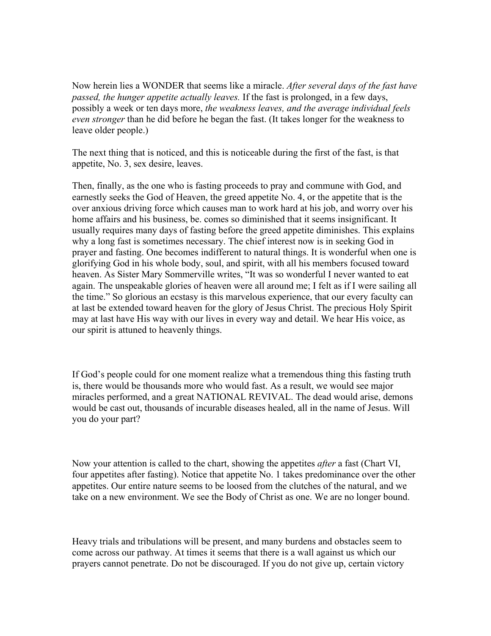Now herein lies a WONDER that seems like a miracle. *After several days of the fast have passed, the hunger appetite actually leaves.* If the fast is prolonged, in a few days, possibly a week or ten days more, *the weakness leaves, and the average individual feels even stronger* than he did before he began the fast. (It takes longer for the weakness to leave older people.)

The next thing that is noticed, and this is noticeable during the first of the fast, is that appetite, No. 3, sex desire, leaves.

Then, finally, as the one who is fasting proceeds to pray and commune with God, and earnestly seeks the God of Heaven, the greed appetite No. 4, or the appetite that is the over anxious driving force which causes man to work hard at his job, and worry over his home affairs and his business, be. comes so diminished that it seems insignificant. It usually requires many days of fasting before the greed appetite diminishes. This explains why a long fast is sometimes necessary. The chief interest now is in seeking God in prayer and fasting. One becomes indifferent to natural things. It is wonderful when one is glorifying God in his whole body, soul, and spirit, with all his members focused toward heaven. As Sister Mary Sommerville writes, "It was so wonderful I never wanted to eat again. The unspeakable glories of heaven were all around me; I felt as if I were sailing all the time." So glorious an ecstasy is this marvelous experience, that our every faculty can at last be extended toward heaven for the glory of Jesus Christ. The precious Holy Spirit may at last have His way with our lives in every way and detail. We hear His voice, as our spirit is attuned to heavenly things.

If God's people could for one moment realize what a tremendous thing this fasting truth is, there would be thousands more who would fast. As a result, we would see major miracles performed, and a great NATIONAL REVIVAL. The dead would arise, demons would be cast out, thousands of incurable diseases healed, all in the name of Jesus. Will you do your part?

Now your attention is called to the chart, showing the appetites *after* a fast (Chart VI, four appetites after fasting). Notice that appetite No. 1 takes predominance over the other appetites. Our entire nature seems to be loosed from the clutches of the natural, and we take on a new environment. We see the Body of Christ as one. We are no longer bound.

Heavy trials and tribulations will be present, and many burdens and obstacles seem to come across our pathway. At times it seems that there is a wall against us which our prayers cannot penetrate. Do not be discouraged. If you do not give up, certain victory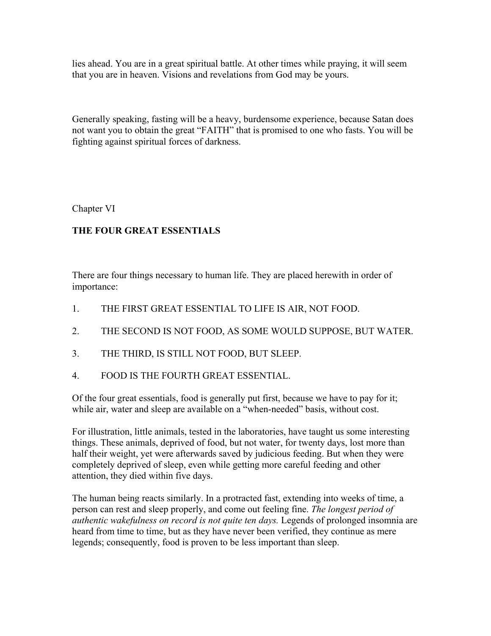lies ahead. You are in a great spiritual battle. At other times while praying, it will seem that you are in heaven. Visions and revelations from God may be yours.

Generally speaking, fasting will be a heavy, burdensome experience, because Satan does not want you to obtain the great "FAITH" that is promised to one who fasts. You will be fighting against spiritual forces of darkness.

Chapter VI

# **THE FOUR GREAT ESSENTIALS**

There are four things necessary to human life. They are placed herewith in order of importance:

- 1. THE FIRST GREAT ESSENTIAL TO LIFE IS AIR, NOT FOOD.
- 2. THE SECOND IS NOT FOOD, AS SOME WOULD SUPPOSE, BUT WATER.
- 3. THE THIRD, IS STILL NOT FOOD, BUT SLEEP.
- 4. FOOD IS THE FOURTH GREAT ESSENTIAL.

Of the four great essentials, food is generally put first, because we have to pay for it; while air, water and sleep are available on a "when-needed" basis, without cost.

For illustration, little animals, tested in the laboratories, have taught us some interesting things. These animals, deprived of food, but not water, for twenty days, lost more than half their weight, yet were afterwards saved by judicious feeding. But when they were completely deprived of sleep, even while getting more careful feeding and other attention, they died within five days.

The human being reacts similarly. In a protracted fast, extending into weeks of time, a person can rest and sleep properly, and come out feeling fine. *The longest period of authentic wakefulness on record is not quite ten days.* Legends of prolonged insomnia are heard from time to time, but as they have never been verified, they continue as mere legends; consequently, food is proven to be less important than sleep.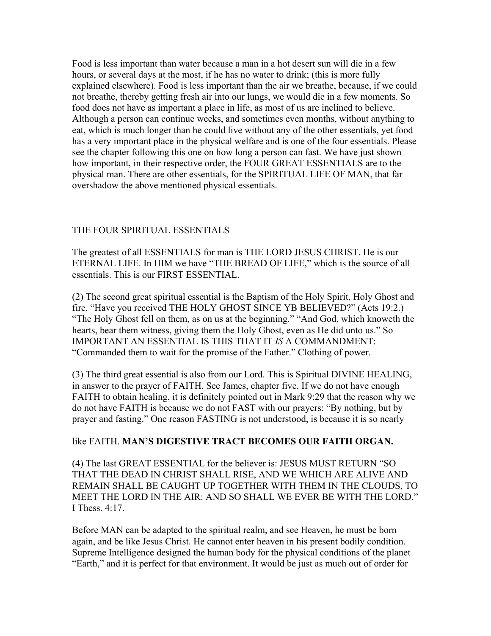Food is less important than water because a man in a hot desert sun will die in a few hours, or several days at the most, if he has no water to drink; (this is more fully explained elsewhere). Food is less important than the air we breathe, because, if we could not breathe, thereby getting fresh air into our lungs, we would die in a few moments. So food does not have as important a place in life, as most of us are inclined to believe. Although a person can continue weeks, and sometimes even months, without anything to eat, which is much longer than he could live without any of the other essentials, yet food has a very important place in the physical welfare and is one of the four essentials. Please see the chapter following this one on how long a person can fast. We have just shown how important, in their respective order, the FOUR GREAT ESSENTIALS are to the physical man. There are other essentials, for the SPIRITUAL LIFE OF MAN, that far overshadow the above mentioned physical essentials.

### THE FOUR SPIRITUAL ESSENTIALS

The greatest of all ESSENTIALS for man is THE LORD JESUS CHRIST. He is our ETERNAL LIFE. In HIM we have "THE BREAD OF LIFE," which is the source of all essentials. This is our FIRST ESSENTIAL.

(2) The second great spiritual essential is the Baptism of the Holy Spirit, Holy Ghost and fire. "Have you received THE HOLY GHOST SINCE YB BELIEVED?" (Acts 19:2.) "The Holy Ghost fell on them, as on us at the beginning." "And God, which knoweth the hearts, bear them witness, giving them the Holy Ghost, even as He did unto us." So IMPORTANT AN ESSENTIAL IS THIS THAT IT *IS* A COMMANDMENT: "Commanded them to wait for the promise of the Father." Clothing of power.

(3) The third great essential is also from our Lord. This is Spiritual DIVINE HEALING, in answer to the prayer of FAITH. See James, chapter five. If we do not have enough FAITH to obtain healing, it is definitely pointed out in Mark 9:29 that the reason why we do not have FAITH is because we do not FAST with our prayers: "By nothing, but by prayer and fasting." One reason FASTING is not understood, is because it is so nearly

#### like FAITH. **MAN'S DIGESTIVE TRACT BECOMES OUR FAITH ORGAN.**

(4) The last GREAT ESSENTIAL for the believer is: JESUS MUST RETURN "SO THAT THE DEAD IN CHRIST SHALL RISE, AND WE WHICH ARE ALIVE AND REMAIN SHALL BE CAUGHT UP TOGETHER WITH THEM IN THE CLOUDS, TO MEET THE LORD IN THE AIR: AND SO SHALL WE EVER BE WITH THE LORD." I Thess. 4:17.

Before MAN can be adapted to the spiritual realm, and see Heaven, he must be born again, and be like Jesus Christ. He cannot enter heaven in his present bodily condition. Supreme Intelligence designed the human body for the physical conditions of the planet "Earth," and it is perfect for that environment. It would be just as much out of order for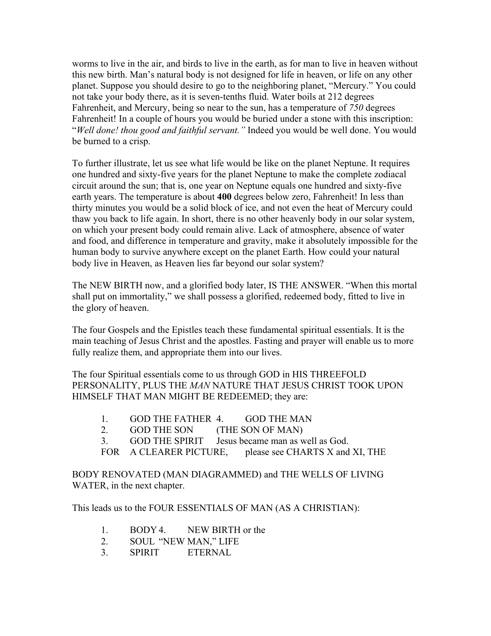worms to live in the air, and birds to live in the earth, as for man to live in heaven without this new birth. Man's natural body is not designed for life in heaven, or life on any other planet. Suppose you should desire to go to the neighboring planet, "Mercury." You could not take your body there, as it is seven-tenths fluid. Water boils at 212 degrees Fahrenheit, and Mercury, being so near to the sun, has a temperature of *750* degrees Fahrenheit! In a couple of hours you would be buried under a stone with this inscription: "*Well done! thou good and faithful servant."* Indeed you would be well done. You would be burned to a crisp.

To further illustrate, let us see what life would be like on the planet Neptune. It requires one hundred and sixty-five years for the planet Neptune to make the complete zodiacal circuit around the sun; that is, one year on Neptune equals one hundred and sixty-five earth years. The temperature is about **400** degrees below zero, Fahrenheit! In less than thirty minutes you would be a solid block of ice, and not even the heat of Mercury could thaw you back to life again. In short, there is no other heavenly body in our solar system, on which your present body could remain alive. Lack of atmosphere, absence of water and food, and difference in temperature and gravity, make it absolutely impossible for the human body to survive anywhere except on the planet Earth. How could your natural body live in Heaven, as Heaven lies far beyond our solar system?

The NEW BIRTH now, and a glorified body later, IS THE ANSWER. "When this mortal shall put on immortality," we shall possess a glorified, redeemed body, fitted to live in the glory of heaven.

The four Gospels and the Epistles teach these fundamental spiritual essentials. It is the main teaching of Jesus Christ and the apostles. Fasting and prayer will enable us to more fully realize them, and appropriate them into our lives.

The four Spiritual essentials come to us through GOD in HIS THREEFOLD PERSONALITY, PLUS THE *MAN* NATURE THAT JESUS CHRIST TOOK UPON HIMSELF THAT MAN MIGHT BE REDEEMED; they are:

- 1. GOD THE FATHER 4. GOD THE MAN
- 2. GOD THE SON (THE SON OF MAN)
- 3. GOD THE SPIRIT Jesus became man as well as God.
- FOR A CLEARER PICTURE, please see CHARTS X and XI, THE

BODY RENOVATED (MAN DIAGRAMMED) and THE WELLS OF LIVING WATER, in the next chapter.

This leads us to the FOUR ESSENTIALS OF MAN (AS A CHRISTIAN):

- 1. BODY 4. NEW BIRTH or the
- 2. SOUL "NEW MAN," LIFE
- 3. SPIRIT ETERNAL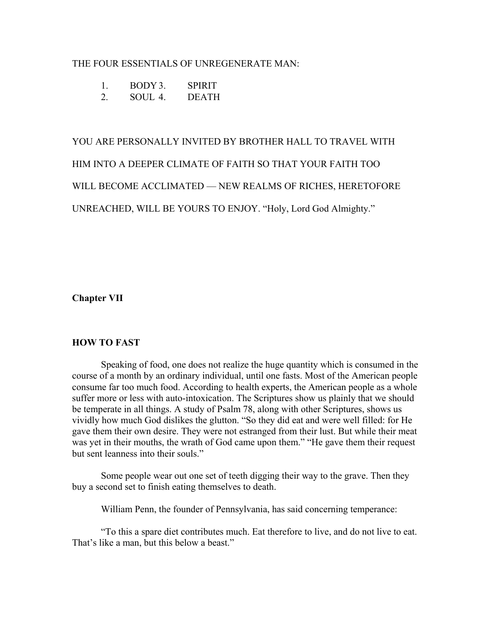#### THE FOUR ESSENTIALS OF UNREGENERATE MAN:

- 1. BODY 3. SPIRIT
- 2. SOUL 4. DEATH

YOU ARE PERSONALLY INVITED BY BROTHER HALL TO TRAVEL WITH HIM INTO A DEEPER CLIMATE OF FAITH SO THAT YOUR FAITH TOO WILL BECOME ACCLIMATED — NEW REALMS OF RICHES, HERETOFORE UNREACHED, WILL BE YOURS TO ENJOY. "Holy, Lord God Almighty."

# **Chapter VII**

### **HOW TO FAST**

 Speaking of food, one does not realize the huge quantity which is consumed in the course of a month by an ordinary individual, until one fasts. Most of the American people consume far too much food. According to health experts, the American people as a whole suffer more or less with auto-intoxication. The Scriptures show us plainly that we should be temperate in all things. A study of Psalm 78, along with other Scriptures, shows us vividly how much God dislikes the glutton. "So they did eat and were well filled: for He gave them their own desire. They were not estranged from their lust. But while their meat was yet in their mouths, the wrath of God came upon them." "He gave them their request but sent leanness into their souls."

 Some people wear out one set of teeth digging their way to the grave. Then they buy a second set to finish eating themselves to death.

William Penn, the founder of Pennsylvania, has said concerning temperance:

 "To this a spare diet contributes much. Eat therefore to live, and do not live to eat. That's like a man, but this below a beast."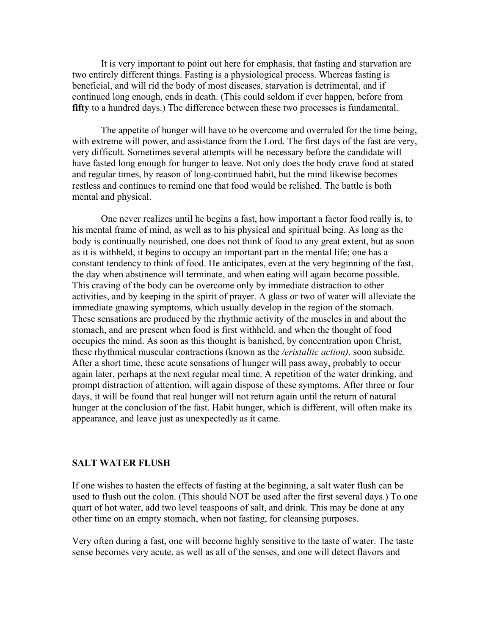It is very important to point out here for emphasis, that fasting and starvation are two entirely different things. Fasting is a physiological process. Whereas fasting is beneficial, and will rid the body of most diseases, starvation is detrimental, and if continued long enough, ends in death. (This could seldom if ever happen, before from **fifty** to a hundred days.) The difference between these two processes is fundamental.

 The appetite of hunger will have to be overcome and overruled for the time being, with extreme will power, and assistance from the Lord. The first days of the fast are very, very difficult. Sometimes several attempts will be necessary before the candidate will have fasted long enough for hunger to leave. Not only does the body crave food at stated and regular times, by reason of long-continued habit, but the mind likewise becomes restless and continues to remind one that food would be relished. The battle is both mental and physical.

 One never realizes until he begins a fast, how important a factor food really is, to his mental frame of mind, as well as to his physical and spiritual being. As long as the body is continually nourished, one does not think of food to any great extent, but as soon as it is withheld, it begins to occupy an important part in the mental life; one has a constant tendency to think of food. He anticipates, even at the very beginning of the fast, the day when abstinence will terminate, and when eating will again become possible. This craving of the body can be overcome only by immediate distraction to other activities, and by keeping in the spirit of prayer. A glass or two of water will alleviate the immediate gnawing symptoms, which usually develop in the region of the stomach. These sensations are produced by the rhythmic activity of the muscles in and about the stomach, and are present when food is first withheld, and when the thought of food occupies the mind. As soon as this thought is banished, by concentration upon Christ, these rhythmical muscular contractions (known as the */eristaltic action),* soon subside. After a short time, these acute sensations of hunger will pass away, probably to occur again later, perhaps at the next regular meal time. A repetition of the water drinking, and prompt distraction of attention, will again dispose of these symptoms. After three or four days, it will be found that real hunger will not return again until the return of natural hunger at the conclusion of the fast. Habit hunger, which is different, will often make its appearance, and leave just as unexpectedly as it came.

#### **SALT WATER FLUSH**

If one wishes to hasten the effects of fasting at the beginning, a salt water flush can be used to flush out the colon. (This should NOT be used after the first several days.) To one quart of hot water, add two level teaspoons of salt, and drink. This may be done at any other time on an empty stomach, when not fasting, for cleansing purposes.

Very often during a fast, one will become highly sensitive to the taste of water. The taste sense becomes very acute, as well as all of the senses, and one will detect flavors and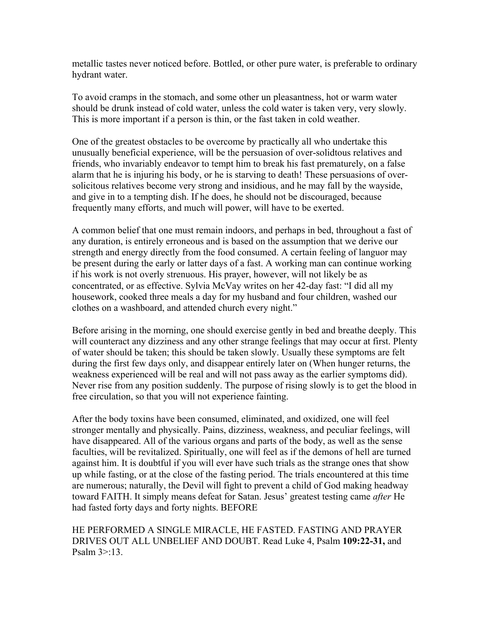metallic tastes never noticed before. Bottled, or other pure water, is preferable to ordinary hydrant water.

To avoid cramps in the stomach, and some other un pleasantness, hot or warm water should be drunk instead of cold water, unless the cold water is taken very, very slowly. This is more important if a person is thin, or the fast taken in cold weather.

One of the greatest obstacles to be overcome by practically all who undertake this unusually beneficial experience, will be the persuasion of over-solidtous relatives and friends, who invariably endeavor to tempt him to break his fast prematurely, on a false alarm that he is injuring his body, or he is starving to death! These persuasions of oversolicitous relatives become very strong and insidious, and he may fall by the wayside, and give in to a tempting dish. If he does, he should not be discouraged, because frequently many efforts, and much will power, will have to be exerted.

A common belief that one must remain indoors, and perhaps in bed, throughout a fast of any duration, is entirely erroneous and is based on the assumption that we derive our strength and energy directly from the food consumed. A certain feeling of languor may be present during the early or latter days of a fast. A working man can continue working if his work is not overly strenuous. His prayer, however, will not likely be as concentrated, or as effective. Sylvia McVay writes on her 42-day fast: "I did all my housework, cooked three meals a day for my husband and four children, washed our clothes on a washboard, and attended church every night."

Before arising in the morning, one should exercise gently in bed and breathe deeply. This will counteract any dizziness and any other strange feelings that may occur at first. Plenty of water should be taken; this should be taken slowly. Usually these symptoms are felt during the first few days only, and disappear entirely later on (When hunger returns, the weakness experienced will be real and will not pass away as the earlier symptoms did). Never rise from any position suddenly. The purpose of rising slowly is to get the blood in free circulation, so that you will not experience fainting.

After the body toxins have been consumed, eliminated, and oxidized, one will feel stronger mentally and physically. Pains, dizziness, weakness, and peculiar feelings, will have disappeared. All of the various organs and parts of the body, as well as the sense faculties, will be revitalized. Spiritually, one will feel as if the demons of hell are turned against him. It is doubtful if you will ever have such trials as the strange ones that show up while fasting, or at the close of the fasting period. The trials encountered at this time are numerous; naturally, the Devil will fight to prevent a child of God making headway toward FAITH. It simply means defeat for Satan. Jesus' greatest testing came *after* He had fasted forty days and forty nights. BEFORE

HE PERFORMED A SINGLE MIRACLE, HE FASTED. FASTING AND PRAYER DRIVES OUT ALL UNBELIEF AND DOUBT. Read Luke 4, Psalm **109:22-31,** and Psalm 3>:13.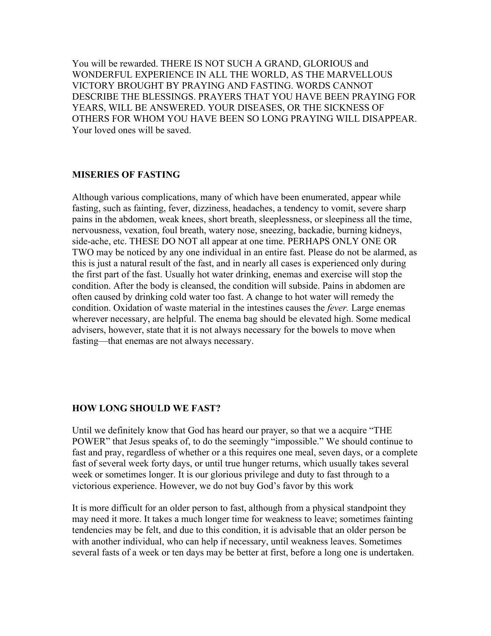You will be rewarded. THERE IS NOT SUCH A GRAND, GLORIOUS and WONDERFUL EXPERIENCE IN ALL THE WORLD, AS THE MARVELLOUS VICTORY BROUGHT BY PRAYING AND FASTING. WORDS CANNOT DESCRIBE THE BLESSINGS. PRAYERS THAT YOU HAVE BEEN PRAYING FOR YEARS, WILL BE ANSWERED. YOUR DISEASES, OR THE SICKNESS OF OTHERS FOR WHOM YOU HAVE BEEN SO LONG PRAYING WILL DISAPPEAR. Your loved ones will be saved.

#### **MISERIES OF FASTING**

Although various complications, many of which have been enumerated, appear while fasting, such as fainting, fever, dizziness, headaches, a tendency to vomit, severe sharp pains in the abdomen, weak knees, short breath, sleeplessness, or sleepiness all the time, nervousness, vexation, foul breath, watery nose, sneezing, backadie, burning kidneys, side-ache, etc. THESE DO NOT all appear at one time. PERHAPS ONLY ONE OR TWO may be noticed by any one individual in an entire fast. Please do not be alarmed, as this is just a natural result of the fast, and in nearly all cases is experienced only during the first part of the fast. Usually hot water drinking, enemas and exercise will stop the condition. After the body is cleansed, the condition will subside. Pains in abdomen are often caused by drinking cold water too fast. A change to hot water will remedy the condition. Oxidation of waste material in the intestines causes the *fever.* Large enemas wherever necessary, are helpful. The enema bag should be elevated high. Some medical advisers, however, state that it is not always necessary for the bowels to move when fasting—that enemas are not always necessary.

### **HOW LONG SHOULD WE FAST?**

Until we definitely know that God has heard our prayer, so that we a acquire "THE POWER" that Jesus speaks of, to do the seemingly "impossible." We should continue to fast and pray, regardless of whether or a this requires one meal, seven days, or a complete fast of several week forty days, or until true hunger returns, which usually takes several week or sometimes longer. It is our glorious privilege and duty to fast through to a victorious experience. However, we do not buy God's favor by this work

It is more difficult for an older person to fast, although from a physical standpoint they may need it more. It takes a much longer time for weakness to leave; sometimes fainting tendencies may be felt, and due to this condition, it is advisable that an older person be with another individual, who can help if necessary, until weakness leaves. Sometimes several fasts of a week or ten days may be better at first, before a long one is undertaken.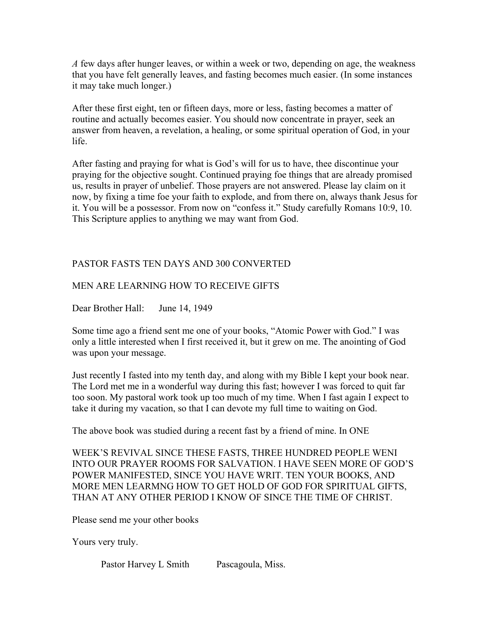*A* few days after hunger leaves, or within a week or two, depending on age, the weakness that you have felt generally leaves, and fasting becomes much easier. (In some instances it may take much longer.)

After these first eight, ten or fifteen days, more or less, fasting becomes a matter of routine and actually becomes easier. You should now concentrate in prayer, seek an answer from heaven, a revelation, a healing, or some spiritual operation of God, in your life.

After fasting and praying for what is God's will for us to have, thee discontinue your praying for the objective sought. Continued praying foe things that are already promised us, results in prayer of unbelief. Those prayers are not answered. Please lay claim on it now, by fixing a time foe your faith to explode, and from there on, always thank Jesus for it. You will be a possessor. From now on "confess it." Study carefully Romans 10:9, 10. This Scripture applies to anything we may want from God.

# PASTOR FASTS TEN DAYS AND 300 CONVERTED

# MEN ARE LEARNING HOW TO RECEIVE GIFTS

Dear Brother Hall: June 14, 1949

Some time ago a friend sent me one of your books, "Atomic Power with God." I was only a little interested when I first received it, but it grew on me. The anointing of God was upon your message.

Just recently I fasted into my tenth day, and along with my Bible I kept your book near. The Lord met me in a wonderful way during this fast; however I was forced to quit far too soon. My pastoral work took up too much of my time. When I fast again I expect to take it during my vacation, so that I can devote my full time to waiting on God.

The above book was studied during a recent fast by a friend of mine. In ONE

WEEK'S REVIVAL SINCE THESE FASTS, THREE HUNDRED PEOPLE WENI INTO OUR PRAYER ROOMS FOR SALVATION. I HAVE SEEN MORE OF GOD'S POWER MANIFESTED, SINCE YOU HAVE WRIT. TEN YOUR BOOKS, AND MORE MEN LEARMNG HOW TO GET HOLD OF GOD FOR SPIRITUAL GIFTS, THAN AT ANY OTHER PERIOD I KNOW OF SINCE THE TIME OF CHRIST.

Please send me your other books

Yours very truly.

Pastor Harvey L Smith Pascagoula, Miss.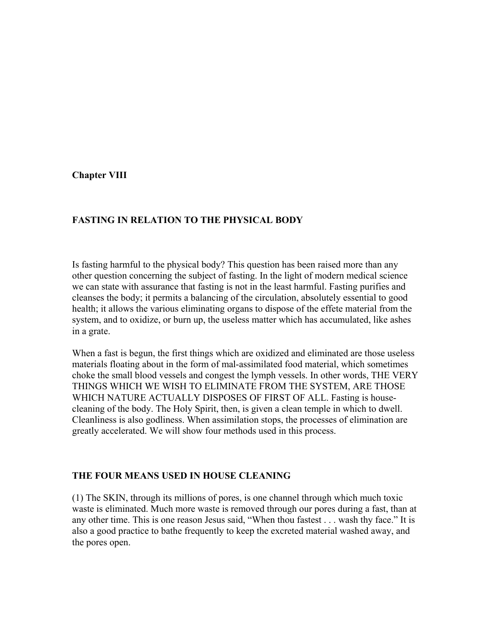### **Chapter VIII**

# **FASTING IN RELATION TO THE PHYSICAL BODY**

Is fasting harmful to the physical body? This question has been raised more than any other question concerning the subject of fasting. In the light of modern medical science we can state with assurance that fasting is not in the least harmful. Fasting purifies and cleanses the body; it permits a balancing of the circulation, absolutely essential to good health; it allows the various eliminating organs to dispose of the effete material from the system, and to oxidize, or burn up, the useless matter which has accumulated, like ashes in a grate.

When a fast is begun, the first things which are oxidized and eliminated are those useless materials floating about in the form of mal-assimilated food material, which sometimes choke the small blood vessels and congest the lymph vessels. In other words, THE VERY THINGS WHICH WE WISH TO ELIMINATE FROM THE SYSTEM, ARE THOSE WHICH NATURE ACTUALLY DISPOSES OF FIRST OF ALL. Fasting is housecleaning of the body. The Holy Spirit, then, is given a clean temple in which to dwell. Cleanliness is also godliness. When assimilation stops, the processes of elimination are greatly accelerated. We will show four methods used in this process.

### **THE FOUR MEANS USED IN HOUSE CLEANING**

(1) The SKIN, through its millions of pores, is one channel through which much toxic waste is eliminated. Much more waste is removed through our pores during a fast, than at any other time. This is one reason Jesus said, "When thou fastest . . . wash thy face." It is also a good practice to bathe frequently to keep the excreted material washed away, and the pores open.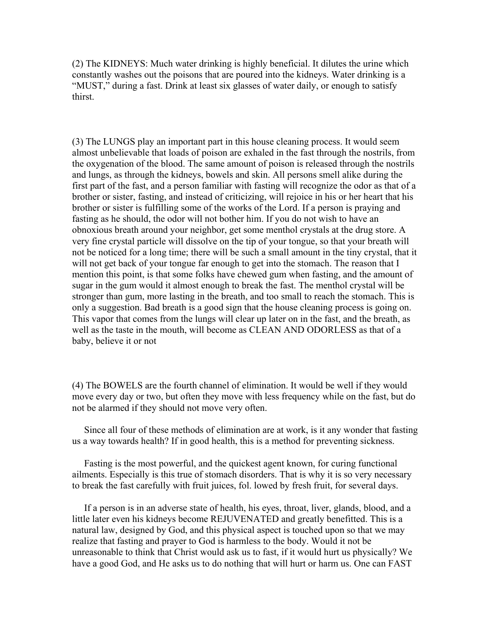(2) The KIDNEYS: Much water drinking is highly beneficial. It dilutes the urine which constantly washes out the poisons that are poured into the kidneys. Water drinking is a "MUST," during a fast. Drink at least six glasses of water daily, or enough to satisfy thirst.

(3) The LUNGS play an important part in this house cleaning process. It would seem almost unbelievable that loads of poison are exhaled in the fast through the nostrils, from the oxygenation of the blood. The same amount of poison is released through the nostrils and lungs, as through the kidneys, bowels and skin. All persons smell alike during the first part of the fast, and a person familiar with fasting will recognize the odor as that of a brother or sister, fasting, and instead of criticizing, will rejoice in his or her heart that his brother or sister is fulfilling some of the works of the Lord. If a person is praying and fasting as he should, the odor will not bother him. If you do not wish to have an obnoxious breath around your neighbor, get some menthol crystals at the drug store. A very fine crystal particle will dissolve on the tip of your tongue, so that your breath will not be noticed for a long time; there will be such a small amount in the tiny crystal, that it will not get back of your tongue far enough to get into the stomach. The reason that I mention this point, is that some folks have chewed gum when fasting, and the amount of sugar in the gum would it almost enough to break the fast. The menthol crystal will be stronger than gum, more lasting in the breath, and too small to reach the stomach. This is only a suggestion. Bad breath is a good sign that the house cleaning process is going on. This vapor that comes from the lungs will clear up later on in the fast, and the breath, as well as the taste in the mouth, will become as CLEAN AND ODORLESS as that of a baby, believe it or not

(4) The BOWELS are the fourth channel of elimination. It would be well if they would move every day or two, but often they move with less frequency while on the fast, but do not be alarmed if they should not move very often.

 Since all four of these methods of elimination are at work, is it any wonder that fasting us a way towards health? If in good health, this is a method for preventing sickness.

 Fasting is the most powerful, and the quickest agent known, for curing functional ailments. Especially is this true of stomach disorders. That is why it is so very necessary to break the fast carefully with fruit juices, fol. lowed by fresh fruit, for several days.

 If a person is in an adverse state of health, his eyes, throat, liver, glands, blood, and a little later even his kidneys become REJUVENATED and greatly benefitted. This is a natural law, designed by God, and this physical aspect is touched upon so that we may realize that fasting and prayer to God is harmless to the body. Would it not be unreasonable to think that Christ would ask us to fast, if it would hurt us physically? We have a good God, and He asks us to do nothing that will hurt or harm us. One can FAST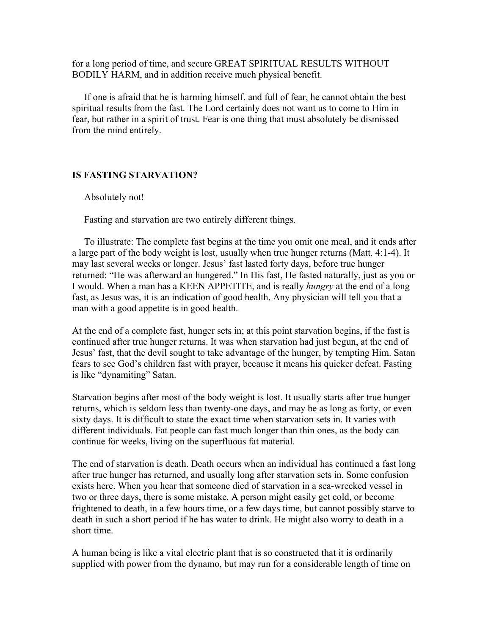for a long period of time, and secure GREAT SPIRITUAL RESULTS WITHOUT BODILY HARM, and in addition receive much physical benefit.

 If one is afraid that he is harming himself, and full of fear, he cannot obtain the best spiritual results from the fast. The Lord certainly does not want us to come to Him in fear, but rather in a spirit of trust. Fear is one thing that must absolutely be dismissed from the mind entirely.

#### **IS FASTING STARVATION?**

Absolutely not!

Fasting and starvation are two entirely different things.

 To illustrate: The complete fast begins at the time you omit one meal, and it ends after a large part of the body weight is lost, usually when true hunger returns (Matt. 4:1-4). It may last several weeks or longer. Jesus' fast lasted forty days, before true hunger returned: "He was afterward an hungered." In His fast, He fasted naturally, just as you or I would. When a man has a KEEN APPETITE, and is really *hungry* at the end of a long fast, as Jesus was, it is an indication of good health. Any physician will tell you that a man with a good appetite is in good health.

At the end of a complete fast, hunger sets in; at this point starvation begins, if the fast is continued after true hunger returns. It was when starvation had just begun, at the end of Jesus' fast, that the devil sought to take advantage of the hunger, by tempting Him. Satan fears to see God's children fast with prayer, because it means his quicker defeat. Fasting is like "dynamiting" Satan.

Starvation begins after most of the body weight is lost. It usually starts after true hunger returns, which is seldom less than twenty-one days, and may be as long as forty, or even sixty days. It is difficult to state the exact time when starvation sets in. It varies with different individuals. Fat people can fast much longer than thin ones, as the body can continue for weeks, living on the superfluous fat material.

The end of starvation is death. Death occurs when an individual has continued a fast long after true hunger has returned, and usually long after starvation sets in. Some confusion exists here. When you hear that someone died of starvation in a sea-wrecked vessel in two or three days, there is some mistake. A person might easily get cold, or become frightened to death, in a few hours time, or a few days time, but cannot possibly starve to death in such a short period if he has water to drink. He might also worry to death in a short time.

A human being is like a vital electric plant that is so constructed that it is ordinarily supplied with power from the dynamo, but may run for a considerable length of time on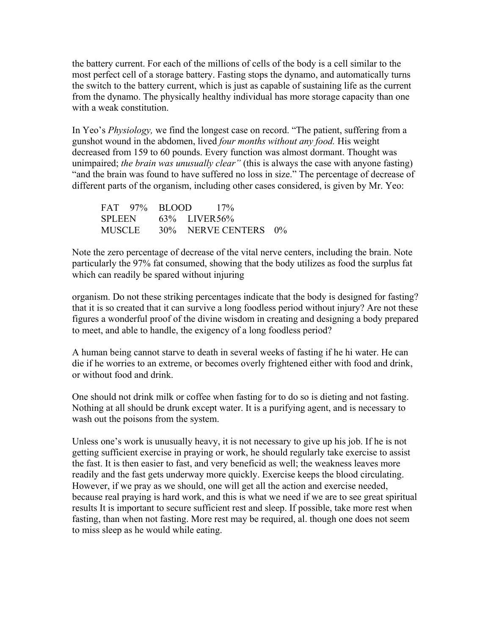the battery current. For each of the millions of cells of the body is a cell similar to the most perfect cell of a storage battery. Fasting stops the dynamo, and automatically turns the switch to the battery current, which is just as capable of sustaining life as the current from the dynamo. The physically healthy individual has more storage capacity than one with a weak constitution.

In Yeo's *Physiology,* we find the longest case on record. "The patient, suffering from a gunshot wound in the abdomen, lived *four months without any food.* His weight decreased from 159 to 60 pounds. Every function was almost dormant. Thought was unimpaired; *the brain was unusually clear"* (this is always the case with anyone fasting) "and the brain was found to have suffered no loss in size." The percentage of decrease of different parts of the organism, including other cases considered, is given by Mr. Yeo:

| FAT 97% BLOOD | $17\%$               |  |
|---------------|----------------------|--|
| <b>SPLEEN</b> | 63% LIVER 56%        |  |
| MUSCLE.       | 30% NERVE CENTERS 0% |  |

Note the zero percentage of decrease of the vital nerve centers, including the brain. Note particularly the 97% fat consumed, showing that the body utilizes as food the surplus fat which can readily be spared without injuring

organism. Do not these striking percentages indicate that the body is designed for fasting? that it is so created that it can survive a long foodless period without injury? Are not these figures a wonderful proof of the divine wisdom in creating and designing a body prepared to meet, and able to handle, the exigency of a long foodless period?

A human being cannot starve to death in several weeks of fasting if he hi water. He can die if he worries to an extreme, or becomes overly frightened either with food and drink, or without food and drink.

One should not drink milk or coffee when fasting for to do so is dieting and not fasting. Nothing at all should be drunk except water. It is a purifying agent, and is necessary to wash out the poisons from the system.

Unless one's work is unusually heavy, it is not necessary to give up his job. If he is not getting sufficient exercise in praying or work, he should regularly take exercise to assist the fast. It is then easier to fast, and very beneficid as well; the weakness leaves more readily and the fast gets underway more quickly. Exercise keeps the blood circulating. However, if we pray as we should, one will get all the action and exercise needed, because real praying is hard work, and this is what we need if we are to see great spiritual results It is important to secure sufficient rest and sleep. If possible, take more rest when fasting, than when not fasting. More rest may be required, al. though one does not seem to miss sleep as he would while eating.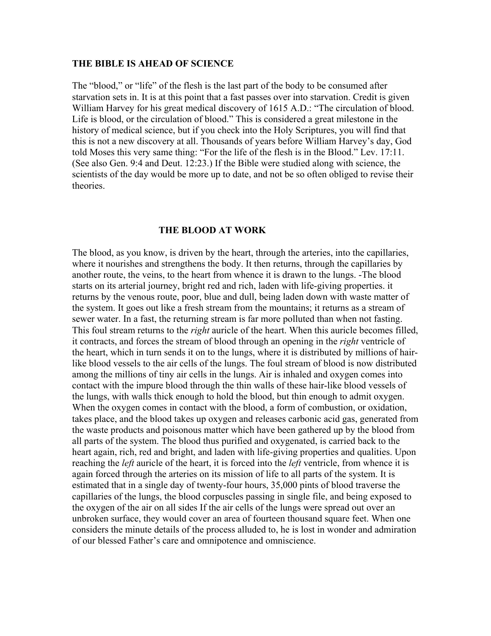#### **THE BIBLE IS AHEAD OF SCIENCE**

The "blood," or "life" of the flesh is the last part of the body to be consumed after starvation sets in. It is at this point that a fast passes over into starvation. Credit is given William Harvey for his great medical discovery of 1615 A.D.: "The circulation of blood. Life is blood, or the circulation of blood." This is considered a great milestone in the history of medical science, but if you check into the Holy Scriptures, you will find that this is not a new discovery at all. Thousands of years before William Harvey's day, God told Moses this very same thing: "For the life of the flesh is in the Blood." Lev. 17:11. (See also Gen. 9:4 and Deut. 12:23.) If the Bible were studied along with science, the scientists of the day would be more up to date, and not be so often obliged to revise their theories.

#### **THE BLOOD AT WORK**

The blood, as you know, is driven by the heart, through the arteries, into the capillaries, where it nourishes and strengthens the body. It then returns, through the capillaries by another route, the veins, to the heart from whence it is drawn to the lungs. -The blood starts on its arterial journey, bright red and rich, laden with life-giving properties. it returns by the venous route, poor, blue and dull, being laden down with waste matter of the system. It goes out like a fresh stream from the mountains; it returns as a stream of sewer water. In a fast, the returning stream is far more polluted than when not fasting. This foul stream returns to the *right* auricle of the heart. When this auricle becomes filled, it contracts, and forces the stream of blood through an opening in the *right* ventricle of the heart, which in turn sends it on to the lungs, where it is distributed by millions of hairlike blood vessels to the air cells of the lungs. The foul stream of blood is now distributed among the millions of tiny air cells in the lungs. Air is inhaled and oxygen comes into contact with the impure blood through the thin walls of these hair-like blood vessels of the lungs, with walls thick enough to hold the blood, but thin enough to admit oxygen. When the oxygen comes in contact with the blood, a form of combustion, or oxidation, takes place, and the blood takes up oxygen and releases carbonic acid gas, generated from the waste products and poisonous matter which have been gathered up by the blood from all parts of the system. The blood thus purified and oxygenated, is carried back to the heart again, rich, red and bright, and laden with life-giving properties and qualities. Upon reaching the *left* auricle of the heart, it is forced into the *left* ventricle, from whence it is again forced through the arteries on its mission of life to all parts of the system. It is estimated that in a single day of twenty-four hours, 35,000 pints of blood traverse the capillaries of the lungs, the blood corpuscles passing in single file, and being exposed to the oxygen of the air on all sides If the air cells of the lungs were spread out over an unbroken surface, they would cover an area of fourteen thousand square feet. When one considers the minute details of the process alluded to, he is lost in wonder and admiration of our blessed Father's care and omnipotence and omniscience.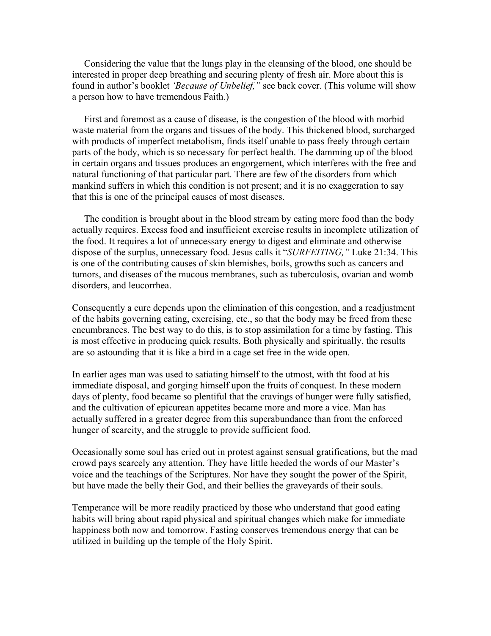Considering the value that the lungs play in the cleansing of the blood, one should be interested in proper deep breathing and securing plenty of fresh air. More about this is found in author's booklet *'Because of Unbelief,"* see back cover. (This volume will show a person how to have tremendous Faith.)

 First and foremost as a cause of disease, is the congestion of the blood with morbid waste material from the organs and tissues of the body. This thickened blood, surcharged with products of imperfect metabolism, finds itself unable to pass freely through certain parts of the body, which is so necessary for perfect health. The damming up of the blood in certain organs and tissues produces an engorgement, which interferes with the free and natural functioning of that particular part. There are few of the disorders from which mankind suffers in which this condition is not present; and it is no exaggeration to say that this is one of the principal causes of most diseases.

 The condition is brought about in the blood stream by eating more food than the body actually requires. Excess food and insufficient exercise results in incomplete utilization of the food. It requires a lot of unnecessary energy to digest and eliminate and otherwise dispose of the surplus, unnecessary food. Jesus calls it "*SURFEITING,"* Luke 21:34. This is one of the contributing causes of skin blemishes, boils, growths such as cancers and tumors, and diseases of the mucous membranes, such as tuberculosis, ovarian and womb disorders, and leucorrhea.

Consequently a cure depends upon the elimination of this congestion, and a readjustment of the habits governing eating, exercising, etc., so that the body may be freed from these encumbrances. The best way to do this, is to stop assimilation for a time by fasting. This is most effective in producing quick results. Both physically and spiritually, the results are so astounding that it is like a bird in a cage set free in the wide open.

In earlier ages man was used to satiating himself to the utmost, with tht food at his immediate disposal, and gorging himself upon the fruits of conquest. In these modern days of plenty, food became so plentiful that the cravings of hunger were fully satisfied, and the cultivation of epicurean appetites became more and more a vice. Man has actually suffered in a greater degree from this superabundance than from the enforced hunger of scarcity, and the struggle to provide sufficient food.

Occasionally some soul has cried out in protest against sensual gratifications, but the mad crowd pays scarcely any attention. They have little heeded the words of our Master's voice and the teachings of the Scriptures. Nor have they sought the power of the Spirit, but have made the belly their God, and their bellies the graveyards of their souls.

Temperance will be more readily practiced by those who understand that good eating habits will bring about rapid physical and spiritual changes which make for immediate happiness both now and tomorrow. Fasting conserves tremendous energy that can be utilized in building up the temple of the Holy Spirit.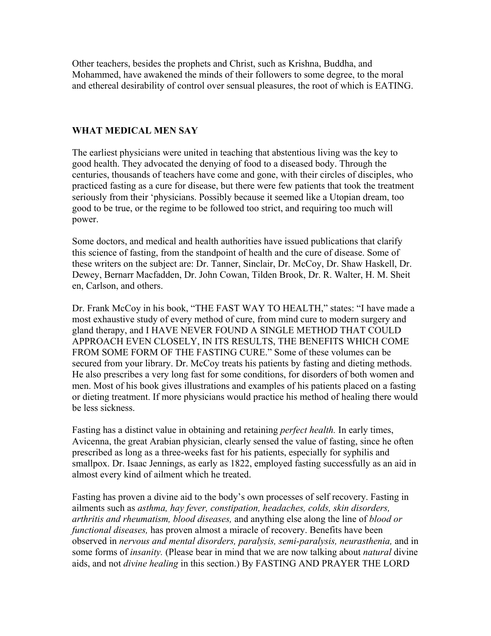Other teachers, besides the prophets and Christ, such as Krishna, Buddha, and Mohammed, have awakened the minds of their followers to some degree, to the moral and ethereal desirability of control over sensual pleasures, the root of which is EATING.

### **WHAT MEDICAL MEN SAY**

The earliest physicians were united in teaching that abstentious living was the key to good health. They advocated the denying of food to a diseased body. Through the centuries, thousands of teachers have come and gone, with their circles of disciples, who practiced fasting as a cure for disease, but there were few patients that took the treatment seriously from their 'physicians. Possibly because it seemed like a Utopian dream, too good to be true, or the regime to be followed too strict, and requiring too much will power.

Some doctors, and medical and health authorities have issued publications that clarify this science of fasting, from the standpoint of health and the cure of disease. Some of these writers on the subject are: Dr. Tanner, Sinclair, Dr. McCoy, Dr. Shaw Haskell, Dr. Dewey, Bernarr Macfadden, Dr. John Cowan, Tilden Brook, Dr. R. Walter, H. M. Sheit en, Carlson, and others.

Dr. Frank McCoy in his book, "THE FAST WAY TO HEALTH," states: "I have made a most exhaustive study of every method of cure, from mind cure to modern surgery and gland therapy, and I HAVE NEVER FOUND A SINGLE METHOD THAT COULD APPROACH EVEN CLOSELY, IN ITS RESULTS, THE BENEFITS WHICH COME FROM SOME FORM OF THE FASTING CURE." Some of these volumes can be secured from your library. Dr. McCoy treats his patients by fasting and dieting methods. He also prescribes a very long fast for some conditions, for disorders of both women and men. Most of his book gives illustrations and examples of his patients placed on a fasting or dieting treatment. If more physicians would practice his method of healing there would be less sickness.

Fasting has a distinct value in obtaining and retaining *perfect health.* In early times, Avicenna, the great Arabian physician, clearly sensed the value of fasting, since he often prescribed as long as a three-weeks fast for his patients, especially for syphilis and smallpox. Dr. Isaac Jennings, as early as 1822, employed fasting successfully as an aid in almost every kind of ailment which he treated.

Fasting has proven a divine aid to the body's own processes of self recovery. Fasting in ailments such as *asthma, hay fever, constipation, headaches, colds, skin disorders, arthritis and rheumatism, blood diseases,* and anything else along the line of *blood or functional diseases,* has proven almost a miracle of recovery. Benefits have been observed in *nervous and mental disorders, paralysis, semi-paralysis, neurasthenia,* and in some forms of *insanity.* (Please bear in mind that we are now talking about *natural* divine aids, and not *divine healing* in this section.) By FASTING AND PRAYER THE LORD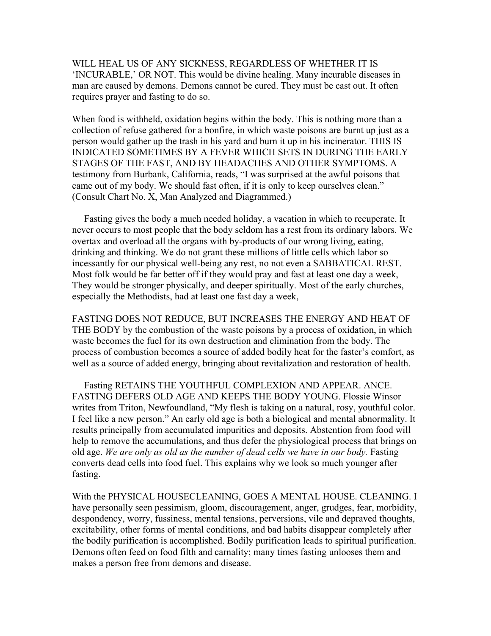WILL HEAL US OF ANY SICKNESS, REGARDLESS OF WHETHER IT IS 'INCURABLE,' OR NOT. This would be divine healing. Many incurable diseases in man are caused by demons. Demons cannot be cured. They must be cast out. It often requires prayer and fasting to do so.

When food is withheld, oxidation begins within the body. This is nothing more than a collection of refuse gathered for a bonfire, in which waste poisons are burnt up just as a person would gather up the trash in his yard and burn it up in his incinerator. THIS IS INDICATED SOMETIMES BY A FEVER WHICH SETS IN DURING THE EARLY STAGES OF THE FAST, AND BY HEADACHES AND OTHER SYMPTOMS. A testimony from Burbank, California, reads, "I was surprised at the awful poisons that came out of my body. We should fast often, if it is only to keep ourselves clean." (Consult Chart No. X, Man Analyzed and Diagrammed.)

 Fasting gives the body a much needed holiday, a vacation in which to recuperate. It never occurs to most people that the body seldom has a rest from its ordinary labors. We overtax and overload all the organs with by-products of our wrong living, eating, drinking and thinking. We do not grant these millions of little cells which labor so incessantly for our physical well-being any rest, no not even a SABBATICAL REST. Most folk would be far better off if they would pray and fast at least one day a week, They would be stronger physically, and deeper spiritually. Most of the early churches, especially the Methodists, had at least one fast day a week,

FASTING DOES NOT REDUCE, BUT INCREASES THE ENERGY AND HEAT OF THE BODY by the combustion of the waste poisons by a process of oxidation, in which waste becomes the fuel for its own destruction and elimination from the body. The process of combustion becomes a source of added bodily heat for the faster's comfort, as well as a source of added energy, bringing about revitalization and restoration of health.

 Fasting RETAINS THE YOUTHFUL COMPLEXION AND APPEAR. ANCE. FASTING DEFERS OLD AGE AND KEEPS THE BODY YOUNG. Flossie Winsor writes from Triton, Newfoundland, "My flesh is taking on a natural, rosy, youthful color. I feel like a new person." An early old age is both a biological and mental abnormality. It results principally from accumulated impurities and deposits. Abstention from food will help to remove the accumulations, and thus defer the physiological process that brings on old age. *We are only as old as the number of dead cells we have in our body.* Fasting converts dead cells into food fuel. This explains why we look so much younger after fasting.

With the PHYSICAL HOUSECLEANING, GOES A MENTAL HOUSE. CLEANING. I have personally seen pessimism, gloom, discouragement, anger, grudges, fear, morbidity, despondency, worry, fussiness, mental tensions, perversions, vile and depraved thoughts, excitability, other forms of mental conditions, and bad habits disappear completely after the bodily purification is accomplished. Bodily purification leads to spiritual purification. Demons often feed on food filth and carnality; many times fasting unlooses them and makes a person free from demons and disease.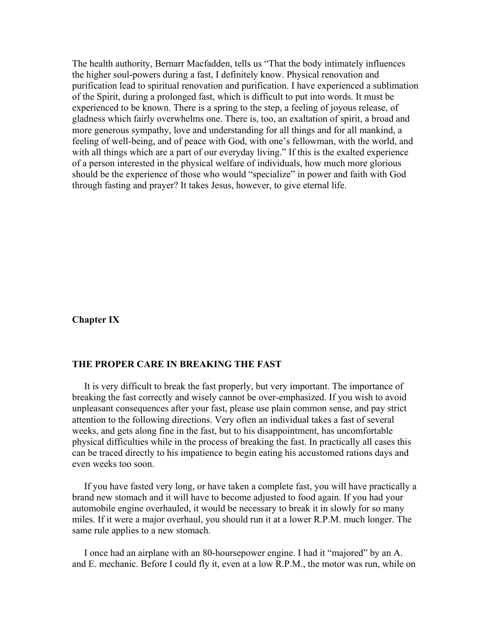The health authority, Bernarr Macfadden, tells us "That the body intimately influences the higher soul-powers during a fast, I definitely know. Physical renovation and purification lead to spiritual renovation and purification. I have experienced a sublimation of the Spirit, during a prolonged fast, which is difficult to put into words. It must be experienced to be known. There is a spring to the step, a feeling of joyous release, of gladness which fairly overwhelms one. There is, too, an exaltation of spirit, a broad and more generous sympathy, love and understanding for all things and for all mankind, a feeling of well-being, and of peace with God, with one's fellowman, with the world, and with all things which are a part of our everyday living." If this is the exalted experience of a person interested in the physical welfare of individuals, how much more glorious should be the experience of those who would "specialize" in power and faith with God through fasting and prayer? It takes Jesus, however, to give eternal life.

#### **Chapter IX**

#### **THE PROPER CARE IN BREAKING THE FAST**

 It is very difficult to break the fast properly, but very important. The importance of breaking the fast correctly and wisely cannot be over-emphasized. If you wish to avoid unpleasant consequences after your fast, please use plain common sense, and pay strict attention to the following directions. Very often an individual takes a fast of several weeks, and gets along fine in the fast, but to his disappointment, has uncomfortable physical difficulties while in the process of breaking the fast. In practically all cases this can be traced directly to his impatience to begin eating his accustomed rations days and even weeks too soon.

 If you have fasted very long, or have taken a complete fast, you will have practically a brand new stomach and it will have to become adjusted to food again. If you had your automobile engine overhauled, it would be necessary to break it in slowly for so many miles. If it were a major overhaul, you should run it at a lower R.P.M. much longer. The same rule applies to a new stomach.

 I once had an airplane with an 80-hoursepower engine. I had it "majored" by an A. and E. mechanic. Before I could fly it, even at a low R.P.M., the motor was run, while on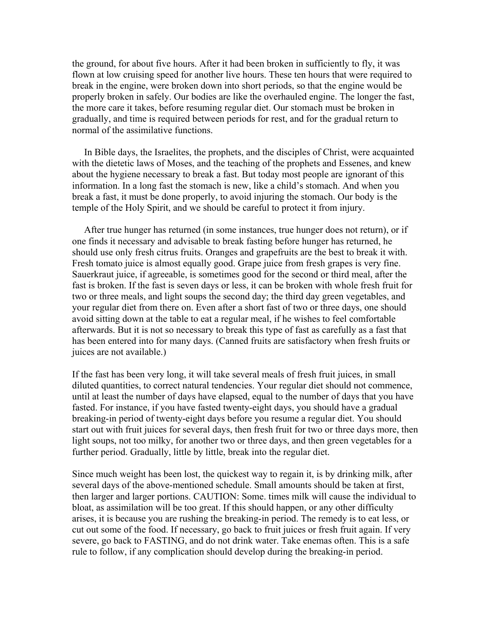the ground, for about five hours. After it had been broken in sufficiently to fly, it was flown at low cruising speed for another live hours. These ten hours that were required to break in the engine, were broken down into short periods, so that the engine would be properly broken in safely. Our bodies are like the overhauled engine. The longer the fast, the more care it takes, before resuming regular diet. Our stomach must be broken in gradually, and time is required between periods for rest, and for the gradual return to normal of the assimilative functions.

 In Bible days, the Israelites, the prophets, and the disciples of Christ, were acquainted with the dietetic laws of Moses, and the teaching of the prophets and Essenes, and knew about the hygiene necessary to break a fast. But today most people are ignorant of this information. In a long fast the stomach is new, like a child's stomach. And when you break a fast, it must be done properly, to avoid injuring the stomach. Our body is the temple of the Holy Spirit, and we should be careful to protect it from injury.

 After true hunger has returned (in some instances, true hunger does not return), or if one finds it necessary and advisable to break fasting before hunger has returned, he should use only fresh citrus fruits. Oranges and grapefruits are the best to break it with. Fresh tomato juice is almost equally good. Grape juice from fresh grapes is very fine. Sauerkraut juice, if agreeable, is sometimes good for the second or third meal, after the fast is broken. If the fast is seven days or less, it can be broken with whole fresh fruit for two or three meals, and light soups the second day; the third day green vegetables, and your regular diet from there on. Even after a short fast of two or three days, one should avoid sitting down at the table to eat a regular meal, if he wishes to feel comfortable afterwards. But it is not so necessary to break this type of fast as carefully as a fast that has been entered into for many days. (Canned fruits are satisfactory when fresh fruits or juices are not available.)

If the fast has been very long, it will take several meals of fresh fruit juices, in small diluted quantities, to correct natural tendencies. Your regular diet should not commence, until at least the number of days have elapsed, equal to the number of days that you have fasted. For instance, if you have fasted twenty-eight days, you should have a gradual breaking-in period of twenty-eight days before you resume a regular diet. You should start out with fruit juices for several days, then fresh fruit for two or three days more, then light soups, not too milky, for another two or three days, and then green vegetables for a further period. Gradually, little by little, break into the regular diet.

Since much weight has been lost, the quickest way to regain it, is by drinking milk, after several days of the above-mentioned schedule. Small amounts should be taken at first, then larger and larger portions. CAUTION: Some. times milk will cause the individual to bloat, as assimilation will be too great. If this should happen, or any other difficulty arises, it is because you are rushing the breaking-in period. The remedy is to eat less, or cut out some of the food. If necessary, go back to fruit juices or fresh fruit again. If very severe, go back to FASTING, and do not drink water. Take enemas often. This is a safe rule to follow, if any complication should develop during the breaking-in period.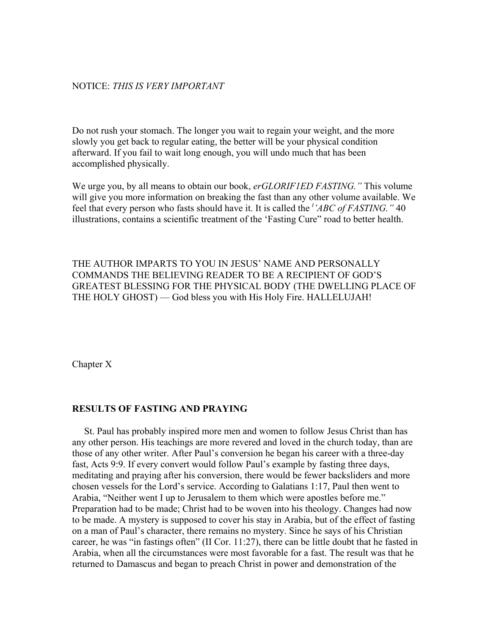Do not rush your stomach. The longer you wait to regain your weight, and the more slowly you get back to regular eating, the better will be your physical condition afterward. If you fail to wait long enough, you will undo much that has been accomplished physically.

We urge you, by all means to obtain our book, *erGLORIF1ED FASTING."* This volume will give you more information on breaking the fast than any other volume available. We feel that every person who fasts should have it. It is called the *<sup>t</sup> 'ABC of FASTING."* 40 illustrations, contains a scientific treatment of the 'Fasting Cure" road to better health.

THE AUTHOR IMPARTS TO YOU IN JESUS' NAME AND PERSONALLY COMMANDS THE BELIEVING READER TO BE A RECIPIENT OF GOD'S GREATEST BLESSING FOR THE PHYSICAL BODY (THE DWELLING PLACE OF THE HOLY GHOST) — God bless you with His Holy Fire. HALLELUJAH!

Chapter X

#### **RESULTS OF FASTING AND PRAYING**

St. Paul has probably inspired more men and women to follow Jesus Christ than has any other person. His teachings are more revered and loved in the church today, than are those of any other writer. After Paul's conversion he began his career with a three-day fast, Acts 9:9. If every convert would follow Paul's example by fasting three days, meditating and praying after his conversion, there would be fewer backsliders and more chosen vessels for the Lord's service. According to Galatians 1:17, Paul then went to Arabia, "Neither went I up to Jerusalem to them which were apostles before me." Preparation had to be made; Christ had to be woven into his theology. Changes had now to be made. A mystery is supposed to cover his stay in Arabia, but of the effect of fasting on a man of Paul's character, there remains no mystery. Since he says of his Christian career, he was "in fastings often" (II Cor. 11:27), there can be little doubt that he fasted in Arabia, when all the circumstances were most favorable for a fast. The result was that he returned to Damascus and began to preach Christ in power and demonstration of the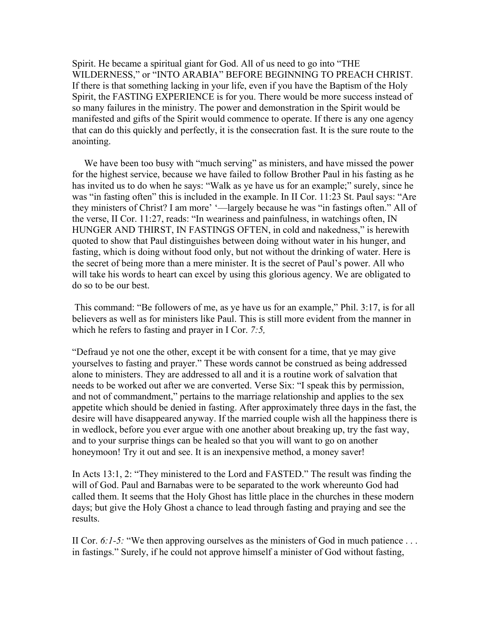Spirit. He became a spiritual giant for God. All of us need to go into "THE WILDERNESS," or "INTO ARABIA" BEFORE BEGINNING TO PREACH CHRIST. If there is that something lacking in your life, even if you have the Baptism of the Holy Spirit, the FASTING EXPERIENCE is for you. There would be more success instead of so many failures in the ministry. The power and demonstration in the Spirit would be manifested and gifts of the Spirit would commence to operate. If there is any one agency that can do this quickly and perfectly, it is the consecration fast. It is the sure route to the anointing.

We have been too busy with "much serving" as ministers, and have missed the power for the highest service, because we have failed to follow Brother Paul in his fasting as he has invited us to do when he says: "Walk as ye have us for an example;" surely, since he was "in fasting often" this is included in the example. In II Cor. 11:23 St. Paul says: "Are they ministers of Christ? I am more' '—largely because he was "in fastings often." All of the verse, II Cor. 11:27, reads: "In weariness and painfulness, in watchings often, IN HUNGER AND THIRST, IN FASTINGS OFTEN, in cold and nakedness," is herewith quoted to show that Paul distinguishes between doing without water in his hunger, and fasting, which is doing without food only, but not without the drinking of water. Here is the secret of being more than a mere minister. It is the secret of Paul's power. All who will take his words to heart can excel by using this glorious agency. We are obligated to do so to be our best.

 This command: "Be followers of me, as ye have us for an example," Phil. 3:17, is for all believers as well as for ministers like Paul. This is still more evident from the manner in which he refers to fasting and prayer in I Cor. *7:5,* 

"Defraud ye not one the other, except it be with consent for a time, that ye may give yourselves to fasting and prayer." These words cannot be construed as being addressed alone to ministers. They are addressed to all and it is a routine work of salvation that needs to be worked out after we are converted. Verse Six: "I speak this by permission, and not of commandment," pertains to the marriage relationship and applies to the sex appetite which should be denied in fasting. After approximately three days in the fast, the desire will have disappeared anyway. If the married couple wish all the happiness there is in wedlock, before you ever argue with one another about breaking up, try the fast way, and to your surprise things can be healed so that you will want to go on another honeymoon! Try it out and see. It is an inexpensive method, a money saver!

In Acts 13:1, 2: "They ministered to the Lord and FASTED." The result was finding the will of God. Paul and Barnabas were to be separated to the work whereunto God had called them. It seems that the Holy Ghost has little place in the churches in these modern days; but give the Holy Ghost a chance to lead through fasting and praying and see the results.

II Cor. *6:1-5:* "We then approving ourselves as the ministers of God in much patience . . . in fastings." Surely, if he could not approve himself a minister of God without fasting,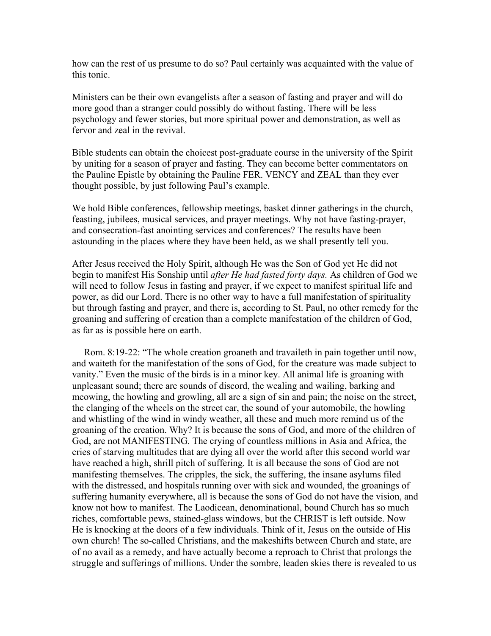how can the rest of us presume to do so? Paul certainly was acquainted with the value of this tonic.

Ministers can be their own evangelists after a season of fasting and prayer and will do more good than a stranger could possibly do without fasting. There will be less psychology and fewer stories, but more spiritual power and demonstration, as well as fervor and zeal in the revival.

Bible students can obtain the choicest post-graduate course in the university of the Spirit by uniting for a season of prayer and fasting. They can become better commentators on the Pauline Epistle by obtaining the Pauline FER. VENCY and ZEAL than they ever thought possible, by just following Paul's example.

We hold Bible conferences, fellowship meetings, basket dinner gatherings in the church, feasting, jubilees, musical services, and prayer meetings. Why not have fasting-prayer, and consecration-fast anointing services and conferences? The results have been astounding in the places where they have been held, as we shall presently tell you.

After Jesus received the Holy Spirit, although He was the Son of God yet He did not begin to manifest His Sonship until *after He had fasted forty days.* As children of God we will need to follow Jesus in fasting and prayer, if we expect to manifest spiritual life and power, as did our Lord. There is no other way to have a full manifestation of spirituality but through fasting and prayer, and there is, according to St. Paul, no other remedy for the groaning and suffering of creation than a complete manifestation of the children of God, as far as is possible here on earth.

 Rom. 8:19-22: "The whole creation groaneth and travaileth in pain together until now, and waiteth for the manifestation of the sons of God, for the creature was made subject to vanity." Even the music of the birds is in a minor key. All animal life is groaning with unpleasant sound; there are sounds of discord, the wealing and wailing, barking and meowing, the howling and growling, all are a sign of sin and pain; the noise on the street, the clanging of the wheels on the street car, the sound of your automobile, the howling and whistling of the wind in windy weather, all these and much more remind us of the groaning of the creation. Why? It is because the sons of God, and more of the children of God, are not MANIFESTING. The crying of countless millions in Asia and Africa, the cries of starving multitudes that are dying all over the world after this second world war have reached a high, shrill pitch of suffering. It is all because the sons of God are not manifesting themselves. The cripples, the sick, the suffering, the insane asylums filed with the distressed, and hospitals running over with sick and wounded, the groanings of suffering humanity everywhere, all is because the sons of God do not have the vision, and know not how to manifest. The Laodicean, denominational, bound Church has so much riches, comfortable pews, stained-glass windows, but the CHRIST is left outside. Now He is knocking at the doors of a few individuals. Think of it, Jesus on the outside of His own church! The so-called Christians, and the makeshifts between Church and state, are of no avail as a remedy, and have actually become a reproach to Christ that prolongs the struggle and sufferings of millions. Under the sombre, leaden skies there is revealed to us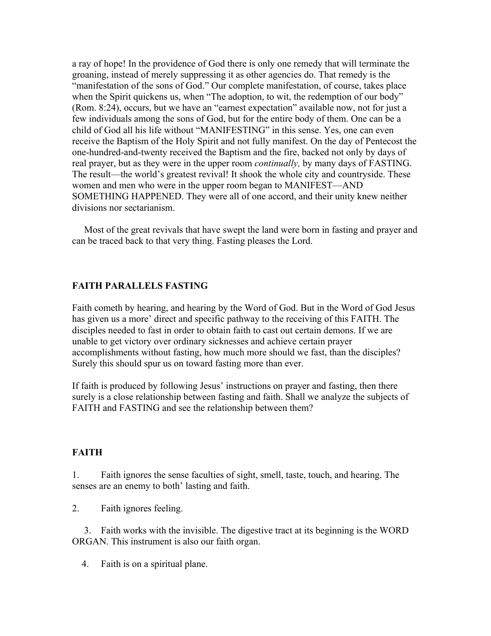a ray of hope! In the providence of God there is only one remedy that will terminate the groaning, instead of merely suppressing it as other agencies do. That remedy is the "manifestation of the sons of God." Our complete manifestation, of course, takes place when the Spirit quickens us, when "The adoption, to wit, the redemption of our body" (Rom. 8:24), occurs, but we have an "earnest expectation" available now, not for just a few individuals among the sons of God, but for the entire body of them. One can be a child of God all his life without "MANIFESTING" in this sense. Yes, one can even receive the Baptism of the Holy Spirit and not fully manifest. On the day of Pentecost the one-hundred-and-twenty received the Baptism and the fire, backed not only by days of real prayer, but as they were in the upper room *continually,* by many days of FASTING. The result—the world's greatest revival! It shook the whole city and countryside. These women and men who were in the upper room began to MANIFEST—AND SOMETHING HAPPENED. They were all of one accord, and their unity knew neither divisions nor sectarianism.

 Most of the great revivals that have swept the land were born in fasting and prayer and can be traced back to that very thing. Fasting pleases the Lord.

# **FAITH PARALLELS FASTING**

Faith cometh by hearing, and hearing by the Word of God. But in the Word of God Jesus has given us a more' direct and specific pathway to the receiving of this FAITH. The disciples needed to fast in order to obtain faith to cast out certain demons. If we are unable to get victory over ordinary sicknesses and achieve certain prayer accomplishments without fasting, how much more should we fast, than the disciples? Surely this should spur us on toward fasting more than ever.

If faith is produced by following Jesus' instructions on prayer and fasting, then there surely is a close relationship between fasting and faith. Shall we analyze the subjects of FAITH and FASTING and see the relationship between them?

### **FAITH**

1. Faith ignores the sense faculties of sight, smell, taste, touch, and hearing. The senses are an enemy to both' lasting and faith.

2. Faith ignores feeling.

 3. Faith works with the invisible. The digestive tract at its beginning is the WORD ORGAN. This instrument is also our faith organ.

4. Faith is on a spiritual plane.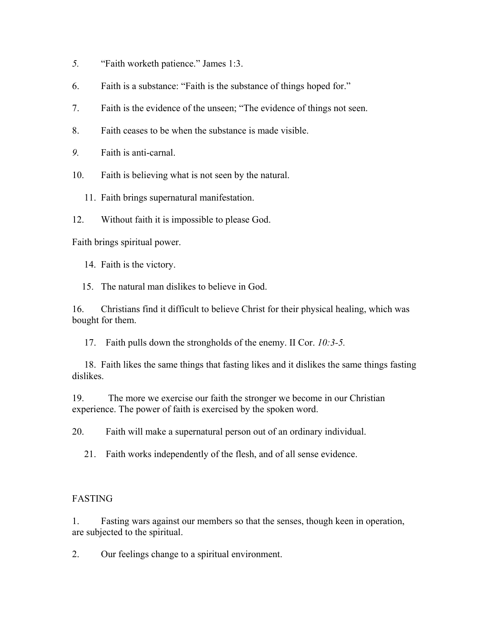- *5.* "Faith worketh patience." James 1:3.
- 6. Faith is a substance: "Faith is the substance of things hoped for."
- 7. Faith is the evidence of the unseen; "The evidence of things not seen.
- 8. Faith ceases to be when the substance is made visible.
- *9.* Faith is anti-carnal.
- 10. Faith is believing what is not seen by the natural.
	- 11. Faith brings supernatural manifestation.
- 12. Without faith it is impossible to please God.

Faith brings spiritual power.

- 14. Faith is the victory.
- 15. The natural man dislikes to believe in God.

16. Christians find it difficult to believe Christ for their physical healing, which was bought for them.

17. Faith pulls down the strongholds of the enemy. II Cor. *10:3-5.* 

18. Faith likes the same things that fasting likes and it dislikes the same things fasting dislikes.

19. The more we exercise our faith the stronger we become in our Christian experience. The power of faith is exercised by the spoken word.

20. Faith will make a supernatural person out of an ordinary individual.

21. Faith works independently of the flesh, and of all sense evidence.

#### FASTING

1. Fasting wars against our members so that the senses, though keen in operation, are subjected to the spiritual.

2. Our feelings change to a spiritual environment.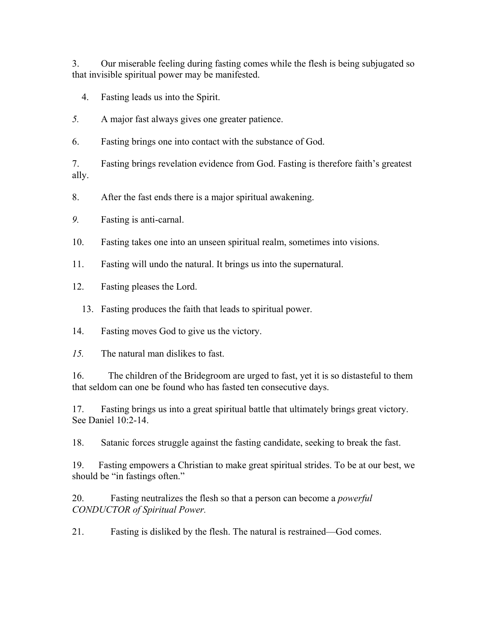3. Our miserable feeling during fasting comes while the flesh is being subjugated so that invisible spiritual power may be manifested.

- 4. Fasting leads us into the Spirit.
- *5.* A major fast always gives one greater patience.
- 6. Fasting brings one into contact with the substance of God.

7. Fasting brings revelation evidence from God. Fasting is therefore faith's greatest ally.

8. After the fast ends there is a major spiritual awakening.

*9.* Fasting is anti-carnal.

10. Fasting takes one into an unseen spiritual realm, sometimes into visions.

11. Fasting will undo the natural. It brings us into the supernatural.

12. Fasting pleases the Lord.

13. Fasting produces the faith that leads to spiritual power.

14. Fasting moves God to give us the victory.

*15.* The natural man dislikes to fast.

16. The children of the Bridegroom are urged to fast, yet it is so distasteful to them that seldom can one be found who has fasted ten consecutive days.

17. Fasting brings us into a great spiritual battle that ultimately brings great victory. See Daniel 10:2-14.

18. Satanic forces struggle against the fasting candidate, seeking to break the fast.

19. Fasting empowers a Christian to make great spiritual strides. To be at our best, we should be "in fastings often."

20. Fasting neutralizes the flesh so that a person can become a *powerful CONDUCTOR of Spiritual Power.* 

21. Fasting is disliked by the flesh. The natural is restrained—God comes.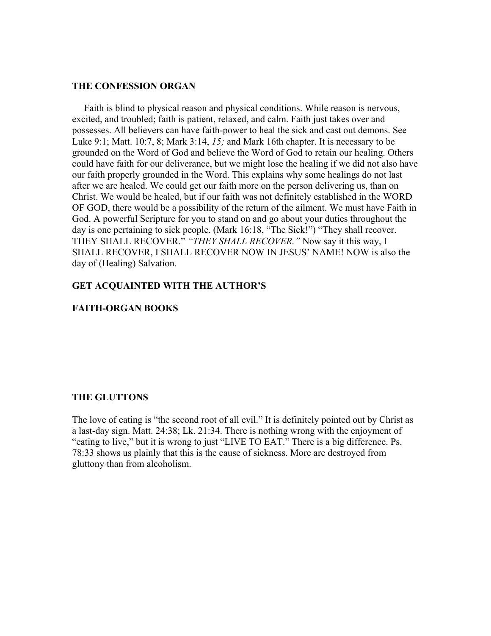#### **THE CONFESSION ORGAN**

Faith is blind to physical reason and physical conditions. While reason is nervous, excited, and troubled; faith is patient, relaxed, and calm. Faith just takes over and possesses. All believers can have faith-power to heal the sick and cast out demons. See Luke 9:1; Matt. 10:7, 8; Mark 3:14, *15;* and Mark 16th chapter. It is necessary to be grounded on the Word of God and believe the Word of God to retain our healing. Others could have faith for our deliverance, but we might lose the healing if we did not also have our faith properly grounded in the Word. This explains why some healings do not last after we are healed. We could get our faith more on the person delivering us, than on Christ. We would be healed, but if our faith was not definitely established in the WORD OF GOD, there would be a possibility of the return of the ailment. We must have Faith in God. A powerful Scripture for you to stand on and go about your duties throughout the day is one pertaining to sick people. (Mark 16:18, "The Sick!") "They shall recover. THEY SHALL RECOVER." *"THEY SHALL RECOVER."* Now say it this way, I SHALL RECOVER, I SHALL RECOVER NOW IN JESUS' NAME! NOW is also the day of (Healing) Salvation.

# **GET ACQUAINTED WITH THE AUTHOR'S**

#### **FAITH-ORGAN BOOKS**

### **THE GLUTTONS**

The love of eating is "the second root of all evil." It is definitely pointed out by Christ as a last-day sign. Matt. 24:38; Lk. 21:34. There is nothing wrong with the enjoyment of "eating to live," but it is wrong to just "LIVE TO EAT." There is a big difference. Ps. 78:33 shows us plainly that this is the cause of sickness. More are destroyed from gluttony than from alcoholism.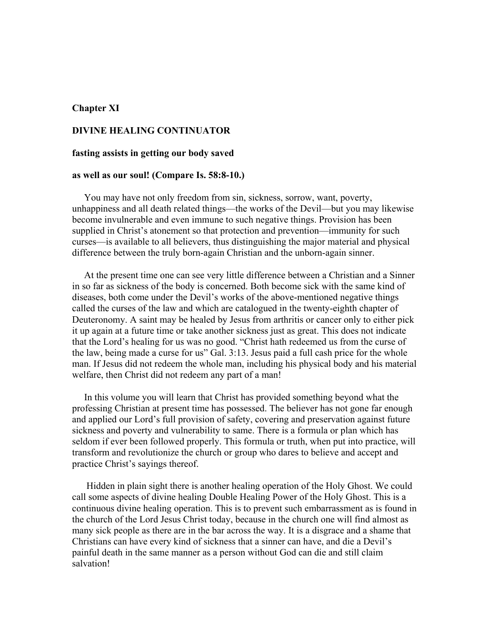### **Chapter XI**

#### **DIVINE HEALING CONTINUATOR**

#### **fasting assists in getting our body saved**

#### **as well as our soul! (Compare Is. 58:8-10.)**

 You may have not only freedom from sin, sickness, sorrow, want, poverty, unhappiness and all death related things—the works of the Devil—but you may likewise become invulnerable and even immune to such negative things. Provision has been supplied in Christ's atonement so that protection and prevention—immunity for such curses—is available to all believers, thus distinguishing the major material and physical difference between the truly born-again Christian and the unborn-again sinner.

 At the present time one can see very little difference between a Christian and a Sinner in so far as sickness of the body is concerned. Both become sick with the same kind of diseases, both come under the Devil's works of the above-mentioned negative things called the curses of the law and which are catalogued in the twenty-eighth chapter of Deuteronomy. A saint may be healed by Jesus from arthritis or cancer only to either pick it up again at a future time or take another sickness just as great. This does not indicate that the Lord's healing for us was no good. "Christ hath redeemed us from the curse of the law, being made a curse for us" Gal. 3:13. Jesus paid a full cash price for the whole man. If Jesus did not redeem the whole man, including his physical body and his material welfare, then Christ did not redeem any part of a man!

 In this volume you will learn that Christ has provided something beyond what the professing Christian at present time has possessed. The believer has not gone far enough and applied our Lord's full provision of safety, covering and preservation against future sickness and poverty and vulnerability to same. There is a formula or plan which has seldom if ever been followed properly. This formula or truth, when put into practice, will transform and revolutionize the church or group who dares to believe and accept and practice Christ's sayings thereof.

 Hidden in plain sight there is another healing operation of the Holy Ghost. We could call some aspects of divine healing Double Healing Power of the Holy Ghost. This is a continuous divine healing operation. This is to prevent such embarrassment as is found in the church of the Lord Jesus Christ today, because in the church one will find almost as many sick people as there are in the bar across the way. It is a disgrace and a shame that Christians can have every kind of sickness that a sinner can have, and die a Devil's painful death in the same manner as a person without God can die and still claim salvation!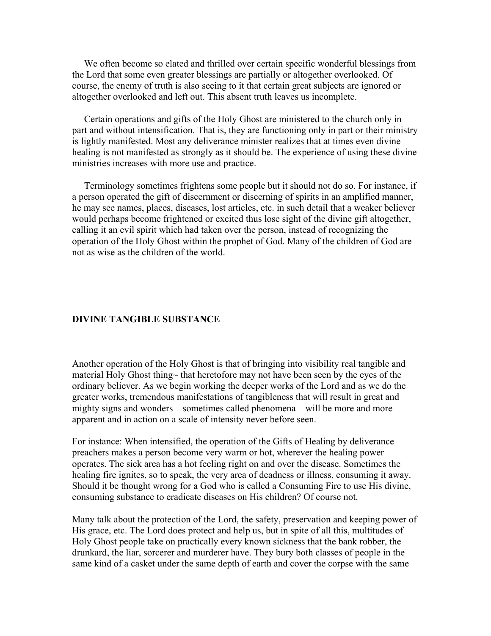We often become so elated and thrilled over certain specific wonderful blessings from the Lord that some even greater blessings are partially or altogether overlooked. Of course, the enemy of truth is also seeing to it that certain great subjects are ignored or altogether overlooked and left out. This absent truth leaves us incomplete.

 Certain operations and gifts of the Holy Ghost are ministered to the church only in part and without intensification. That is, they are functioning only in part or their ministry is lightly manifested. Most any deliverance minister realizes that at times even divine healing is not manifested as strongly as it should be. The experience of using these divine ministries increases with more use and practice.

 Terminology sometimes frightens some people but it should not do so. For instance, if a person operated the gift of discernment or discerning of spirits in an amplified manner, he may see names, places, diseases, lost articles, etc. in such detail that a weaker believer would perhaps become frightened or excited thus lose sight of the divine gift altogether, calling it an evil spirit which had taken over the person, instead of recognizing the operation of the Holy Ghost within the prophet of God. Many of the children of God are not as wise as the children of the world.

#### **DIVINE TANGIBLE SUBSTANCE**

Another operation of the Holy Ghost is that of bringing into visibility real tangible and material Holy Ghost thing~ that heretofore may not have been seen by the eyes of the ordinary believer. As we begin working the deeper works of the Lord and as we do the greater works, tremendous manifestations of tangibleness that will result in great and mighty signs and wonders—sometimes called phenomena—will be more and more apparent and in action on a scale of intensity never before seen.

For instance: When intensified, the operation of the Gifts of Healing by deliverance preachers makes a person become very warm or hot, wherever the healing power operates. The sick area has a hot feeling right on and over the disease. Sometimes the healing fire ignites, so to speak, the very area of deadness or illness, consuming it away. Should it be thought wrong for a God who is called a Consuming Fire to use His divine, consuming substance to eradicate diseases on His children? Of course not.

Many talk about the protection of the Lord, the safety, preservation and keeping power of His grace, etc. The Lord does protect and help us, but in spite of all this, multitudes of Holy Ghost people take on practically every known sickness that the bank robber, the drunkard, the liar, sorcerer and murderer have. They bury both classes of people in the same kind of a casket under the same depth of earth and cover the corpse with the same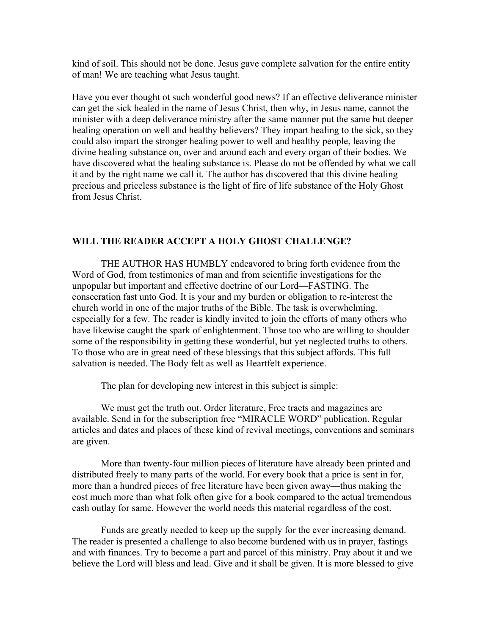kind of soil. This should not be done. Jesus gave complete salvation for the entire entity of man! We are teaching what Jesus taught.

Have you ever thought ot such wonderful good news? If an effective deliverance minister can get the sick healed in the name of Jesus Christ, then why, in Jesus name, cannot the minister with a deep deliverance ministry after the same manner put the same but deeper healing operation on well and healthy believers? They impart healing to the sick, so they could also impart the stronger healing power to well and healthy people, leaving the divine healing substance on, over and around each and every organ of their bodies. We have discovered what the healing substance is. Please do not be offended by what we call it and by the right name we call it. The author has discovered that this divine healing precious and priceless substance is the light of fire of life substance of the Holy Ghost from Jesus Christ.

#### **WILL THE READER ACCEPT A HOLY GHOST CHALLENGE?**

 THE AUTHOR HAS HUMBLY endeavored to bring forth evidence from the Word of God, from testimonies of man and from scientific investigations for the unpopular but important and effective doctrine of our Lord—FASTING. The consecration fast unto God. It is your and my burden or obligation to re-interest the church world in one of the major truths of the Bible. The task is overwhelming, especially for a few. The reader is kindly invited to join the efforts of many others who have likewise caught the spark of enlightenment. Those too who are willing to shoulder some of the responsibility in getting these wonderful, but yet neglected truths to others. To those who are in great need of these blessings that this subject affords. This full salvation is needed. The Body felt as well as Heartfelt experience.

The plan for developing new interest in this subject is simple:

 We must get the truth out. Order literature, Free tracts and magazines are available. Send in for the subscription free "MIRACLE WORD" publication. Regular articles and dates and places of these kind of revival meetings, conventions and seminars are given.

 More than twenty-four million pieces of literature have already been printed and distributed freely to many parts of the world. For every book that a price is sent in for, more than a hundred pieces of free literature have been given away—thus making the cost much more than what folk often give for a book compared to the actual tremendous cash outlay for same. However the world needs this material regardless of the cost.

 Funds are greatly needed to keep up the supply for the ever increasing demand. The reader is presented a challenge to also become burdened with us in prayer, fastings and with finances. Try to become a part and parcel of this ministry. Pray about it and we believe the Lord will bless and lead. Give and it shall be given. It is more blessed to give